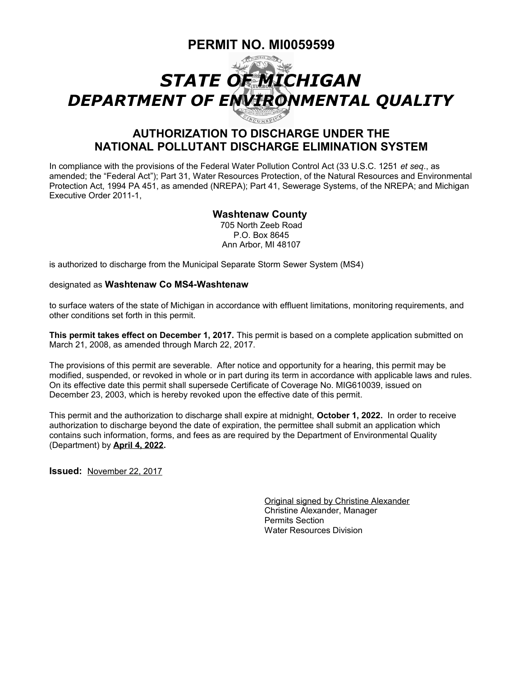# **PERMIT NO. MI0059599**



## **AUTHORIZATION TO DISCHARGE UNDER THE NATIONAL POLLUTANT DISCHARGE ELIMINATION SYSTEM**

In compliance with the provisions of the Federal Water Pollution Control Act (33 U.S.C. 1251 *et seq*., as amended; the "Federal Act"); Part 31, Water Resources Protection, of the Natural Resources and Environmental Protection Act, 1994 PA 451, as amended (NREPA); Part 41, Sewerage Systems, of the NREPA; and Michigan Executive Order 2011-1,

### **Washtenaw County**

705 North Zeeb Road P.O. Box 8645 Ann Arbor, MI 48107

is authorized to discharge from the Municipal Separate Storm Sewer System (MS4)

#### designated as **Washtenaw Co MS4-Washtenaw**

to surface waters of the state of Michigan in accordance with effluent limitations, monitoring requirements, and other conditions set forth in this permit.

**This permit takes effect on December 1, 2017.** This permit is based on a complete application submitted on March 21, 2008, as amended through March 22, 2017.

The provisions of this permit are severable. After notice and opportunity for a hearing, this permit may be modified, suspended, or revoked in whole or in part during its term in accordance with applicable laws and rules. On its effective date this permit shall supersede Certificate of Coverage No. MIG610039, issued on December 23, 2003, which is hereby revoked upon the effective date of this permit.

This permit and the authorization to discharge shall expire at midnight, **October 1, 2022.** In order to receive authorization to discharge beyond the date of expiration, the permittee shall submit an application which contains such information, forms, and fees as are required by the Department of Environmental Quality (Department) by **April 4, 2022.**

**Issued:** November 22, 2017

Original signed by Christine Alexander Christine Alexander, Manager Permits Section Water Resources Division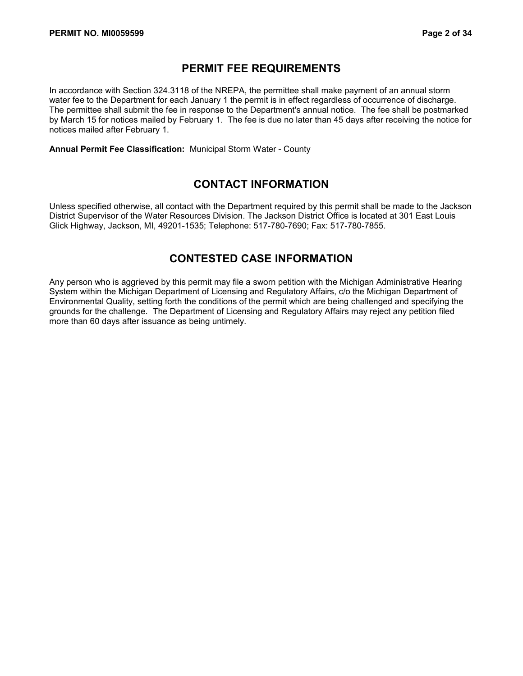### **PERMIT FEE REQUIREMENTS**

In accordance with Section 324.3118 of the NREPA, the permittee shall make payment of an annual storm water fee to the Department for each January 1 the permit is in effect regardless of occurrence of discharge. The permittee shall submit the fee in response to the Department's annual notice. The fee shall be postmarked by March 15 for notices mailed by February 1. The fee is due no later than 45 days after receiving the notice for notices mailed after February 1.

**Annual Permit Fee Classification:** Municipal Storm Water - County

### **CONTACT INFORMATION**

Unless specified otherwise, all contact with the Department required by this permit shall be made to the Jackson District Supervisor of the Water Resources Division. The Jackson District Office is located at 301 East Louis Glick Highway, Jackson, MI, 49201-1535; Telephone: 517-780-7690; Fax: 517-780-7855.

### **CONTESTED CASE INFORMATION**

Any person who is aggrieved by this permit may file a sworn petition with the Michigan Administrative Hearing System within the Michigan Department of Licensing and Regulatory Affairs, c/o the Michigan Department of Environmental Quality, setting forth the conditions of the permit which are being challenged and specifying the grounds for the challenge. The Department of Licensing and Regulatory Affairs may reject any petition filed more than 60 days after issuance as being untimely.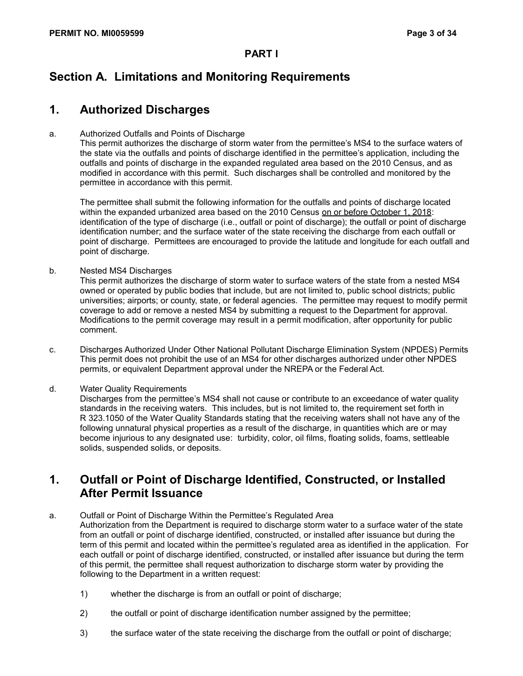# **Section A. Limitations and Monitoring Requirements**

# **1. Authorized Discharges**

### a. Authorized Outfalls and Points of Discharge

This permit authorizes the discharge of storm water from the permittee's MS4 to the surface waters of the state via the outfalls and points of discharge identified in the permittee's application, including the outfalls and points of discharge in the expanded regulated area based on the 2010 Census, and as modified in accordance with this permit. Such discharges shall be controlled and monitored by the permittee in accordance with this permit.

The permittee shall submit the following information for the outfalls and points of discharge located within the expanded urbanized area based on the 2010 Census on or before October 1, 2018: identification of the type of discharge (i.e., outfall or point of discharge); the outfall or point of discharge identification number; and the surface water of the state receiving the discharge from each outfall or point of discharge. Permittees are encouraged to provide the latitude and longitude for each outfall and point of discharge.

b. Nested MS4 Discharges

This permit authorizes the discharge of storm water to surface waters of the state from a nested MS4 owned or operated by public bodies that include, but are not limited to, public school districts; public universities; airports; or county, state, or federal agencies. The permittee may request to modify permit coverage to add or remove a nested MS4 by submitting a request to the Department for approval. Modifications to the permit coverage may result in a permit modification, after opportunity for public comment.

c. Discharges Authorized Under Other National Pollutant Discharge Elimination System (NPDES) Permits This permit does not prohibit the use of an MS4 for other discharges authorized under other NPDES permits, or equivalent Department approval under the NREPA or the Federal Act.

d. Water Quality Requirements

Discharges from the permittee's MS4 shall not cause or contribute to an exceedance of water quality standards in the receiving waters. This includes, but is not limited to, the requirement set forth in R 323.1050 of the Water Quality Standards stating that the receiving waters shall not have any of the following unnatural physical properties as a result of the discharge, in quantities which are or may become injurious to any designated use: turbidity, color, oil films, floating solids, foams, settleable solids, suspended solids, or deposits.

### **1. Outfall or Point of Discharge Identified, Constructed, or Installed After Permit Issuance**

a. Outfall or Point of Discharge Within the Permittee's Regulated Area

Authorization from the Department is required to discharge storm water to a surface water of the state from an outfall or point of discharge identified, constructed, or installed after issuance but during the term of this permit and located within the permittee's regulated area as identified in the application. For each outfall or point of discharge identified, constructed, or installed after issuance but during the term of this permit, the permittee shall request authorization to discharge storm water by providing the following to the Department in a written request:

- 1) whether the discharge is from an outfall or point of discharge;
- 2) the outfall or point of discharge identification number assigned by the permittee;
- 3) the surface water of the state receiving the discharge from the outfall or point of discharge;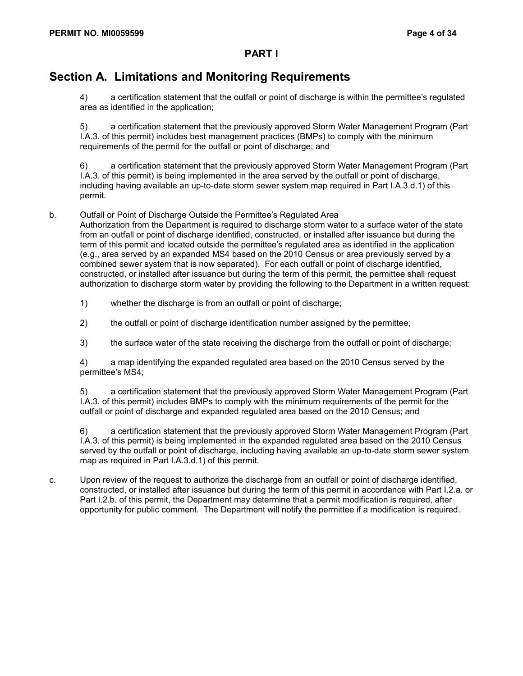# **Section A. Limitations and Monitoring Requirements**

4) a certification statement that the outfall or point of discharge is within the permittee's regulated area as identified in the application;

5) a certification statement that the previously approved Storm Water Management Program (Part I.A.3. of this permit) includes best management practices (BMPs) to comply with the minimum requirements of the permit for the outfall or point of discharge; and

6) a certification statement that the previously approved Storm Water Management Program (Part I.A.3. of this permit) is being implemented in the area served by the outfall or point of discharge, including having available an up-to-date storm sewer system map required in Part I.A.3.d.1) of this permit.

b. Outfall or Point of Discharge Outside the Permittee's Regulated Area

Authorization from the Department is required to discharge storm water to a surface water of the state from an outfall or point of discharge identified, constructed, or installed after issuance but during the term of this permit and located outside the permittee's regulated area as identified in the application (e.g., area served by an expanded MS4 based on the 2010 Census or area previously served by a combined sewer system that is now separated). For each outfall or point of discharge identified, constructed, or installed after issuance but during the term of this permit, the permittee shall request authorization to discharge storm water by providing the following to the Department in a written request:

- 1) whether the discharge is from an outfall or point of discharge;
- 2) the outfall or point of discharge identification number assigned by the permittee;
- 3) the surface water of the state receiving the discharge from the outfall or point of discharge;

4) a map identifying the expanded regulated area based on the 2010 Census served by the permittee's MS4;

5) a certification statement that the previously approved Storm Water Management Program (Part I.A.3. of this permit) includes BMPs to comply with the minimum requirements of the permit for the outfall or point of discharge and expanded regulated area based on the 2010 Census; and

6) a certification statement that the previously approved Storm Water Management Program (Part I.A.3. of this permit) is being implemented in the expanded regulated area based on the 2010 Census served by the outfall or point of discharge, including having available an up-to-date storm sewer system map as required in Part I.A.3.d.1) of this permit.

c. Upon review of the request to authorize the discharge from an outfall or point of discharge identified, constructed, or installed after issuance but during the term of this permit in accordance with Part I.2.a. or Part I.2.b. of this permit, the Department may determine that a permit modification is required, after opportunity for public comment. The Department will notify the permittee if a modification is required.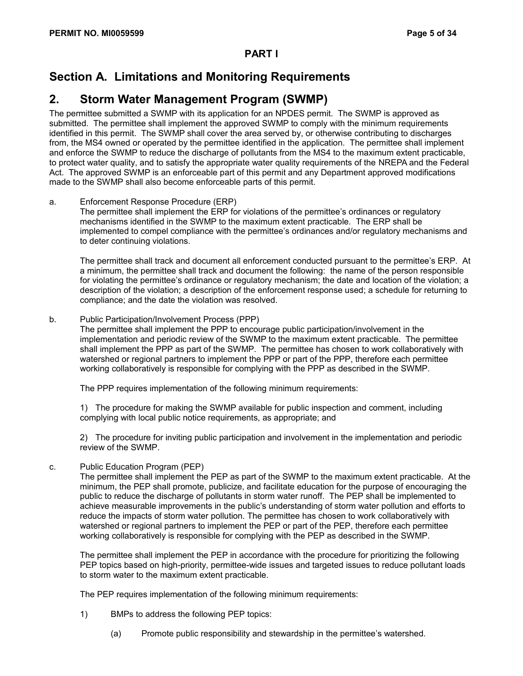# **Section A. Limitations and Monitoring Requirements**

### **2. Storm Water Management Program (SWMP)**

The permittee submitted a SWMP with its application for an NPDES permit. The SWMP is approved as submitted. The permittee shall implement the approved SWMP to comply with the minimum requirements identified in this permit. The SWMP shall cover the area served by, or otherwise contributing to discharges from, the MS4 owned or operated by the permittee identified in the application. The permittee shall implement and enforce the SWMP to reduce the discharge of pollutants from the MS4 to the maximum extent practicable, to protect water quality, and to satisfy the appropriate water quality requirements of the NREPA and the Federal Act. The approved SWMP is an enforceable part of this permit and any Department approved modifications made to the SWMP shall also become enforceable parts of this permit.

a. Enforcement Response Procedure (ERP)

The permittee shall implement the ERP for violations of the permittee's ordinances or regulatory mechanisms identified in the SWMP to the maximum extent practicable. The ERP shall be implemented to compel compliance with the permittee's ordinances and/or regulatory mechanisms and to deter continuing violations.

The permittee shall track and document all enforcement conducted pursuant to the permittee's ERP. At a minimum, the permittee shall track and document the following: the name of the person responsible for violating the permittee's ordinance or regulatory mechanism; the date and location of the violation; a description of the violation; a description of the enforcement response used; a schedule for returning to compliance; and the date the violation was resolved.

b. Public Participation/Involvement Process (PPP)

The permittee shall implement the PPP to encourage public participation/involvement in the implementation and periodic review of the SWMP to the maximum extent practicable. The permittee shall implement the PPP as part of the SWMP. The permittee has chosen to work collaboratively with watershed or regional partners to implement the PPP or part of the PPP, therefore each permittee working collaboratively is responsible for complying with the PPP as described in the SWMP.

The PPP requires implementation of the following minimum requirements:

1) The procedure for making the SWMP available for public inspection and comment, including complying with local public notice requirements, as appropriate; and

2) The procedure for inviting public participation and involvement in the implementation and periodic review of the SWMP.

c. Public Education Program (PEP)

The permittee shall implement the PEP as part of the SWMP to the maximum extent practicable. At the minimum, the PEP shall promote, publicize, and facilitate education for the purpose of encouraging the public to reduce the discharge of pollutants in storm water runoff. The PEP shall be implemented to achieve measurable improvements in the public's understanding of storm water pollution and efforts to reduce the impacts of storm water pollution. The permittee has chosen to work collaboratively with watershed or regional partners to implement the PEP or part of the PEP, therefore each permittee working collaboratively is responsible for complying with the PEP as described in the SWMP.

The permittee shall implement the PEP in accordance with the procedure for prioritizing the following PEP topics based on high-priority, permittee-wide issues and targeted issues to reduce pollutant loads to storm water to the maximum extent practicable.

The PEP requires implementation of the following minimum requirements:

- 1) BMPs to address the following PEP topics:
	- (a) Promote public responsibility and stewardship in the permittee's watershed.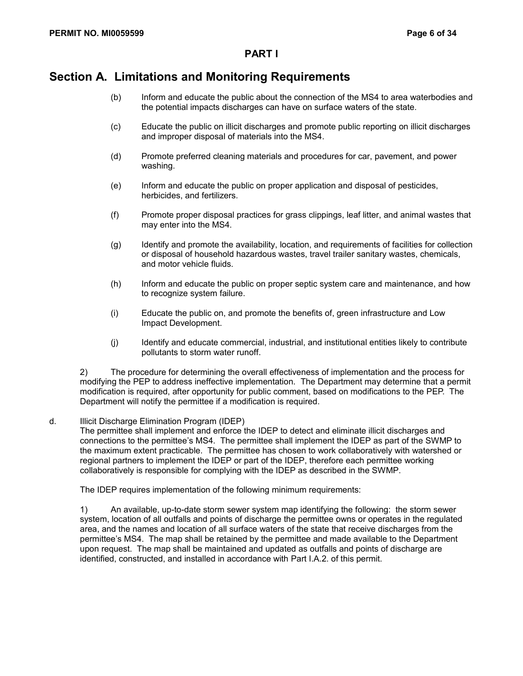### **Section A. Limitations and Monitoring Requirements**

- (b) Inform and educate the public about the connection of the MS4 to area waterbodies and the potential impacts discharges can have on surface waters of the state.
- (c) Educate the public on illicit discharges and promote public reporting on illicit discharges and improper disposal of materials into the MS4.
- (d) Promote preferred cleaning materials and procedures for car, pavement, and power washing.
- (e) Inform and educate the public on proper application and disposal of pesticides, herbicides, and fertilizers.
- (f) Promote proper disposal practices for grass clippings, leaf litter, and animal wastes that may enter into the MS4.
- (g) Identify and promote the availability, location, and requirements of facilities for collection or disposal of household hazardous wastes, travel trailer sanitary wastes, chemicals, and motor vehicle fluids.
- (h) Inform and educate the public on proper septic system care and maintenance, and how to recognize system failure.
- (i) Educate the public on, and promote the benefits of, green infrastructure and Low Impact Development.
- (j) Identify and educate commercial, industrial, and institutional entities likely to contribute pollutants to storm water runoff.

2) The procedure for determining the overall effectiveness of implementation and the process for modifying the PEP to address ineffective implementation. The Department may determine that a permit modification is required, after opportunity for public comment, based on modifications to the PEP. The Department will notify the permittee if a modification is required.

#### d. Illicit Discharge Elimination Program (IDEP)

The permittee shall implement and enforce the IDEP to detect and eliminate illicit discharges and connections to the permittee's MS4. The permittee shall implement the IDEP as part of the SWMP to the maximum extent practicable. The permittee has chosen to work collaboratively with watershed or regional partners to implement the IDEP or part of the IDEP, therefore each permittee working collaboratively is responsible for complying with the IDEP as described in the SWMP.

The IDEP requires implementation of the following minimum requirements:

1) An available, up-to-date storm sewer system map identifying the following: the storm sewer system, location of all outfalls and points of discharge the permittee owns or operates in the regulated area, and the names and location of all surface waters of the state that receive discharges from the permittee's MS4. The map shall be retained by the permittee and made available to the Department upon request. The map shall be maintained and updated as outfalls and points of discharge are identified, constructed, and installed in accordance with Part I.A.2. of this permit.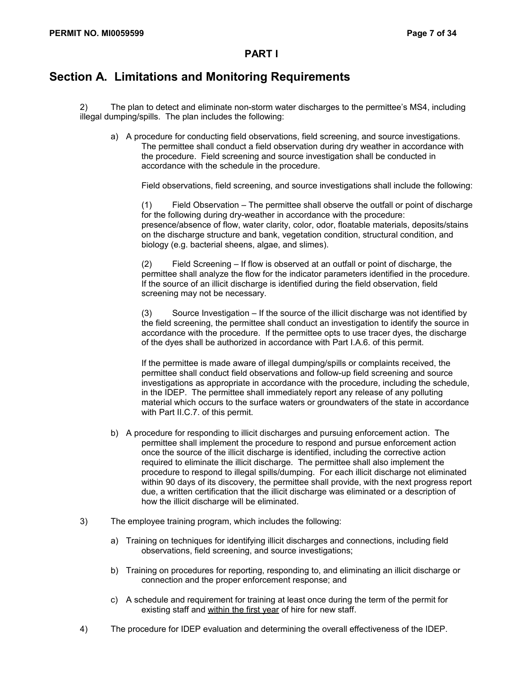# **Section A. Limitations and Monitoring Requirements**

2) The plan to detect and eliminate non-storm water discharges to the permittee's MS4, including illegal dumping/spills. The plan includes the following:

a) A procedure for conducting field observations, field screening, and source investigations. The permittee shall conduct a field observation during dry weather in accordance with the procedure. Field screening and source investigation shall be conducted in accordance with the schedule in the procedure.

Field observations, field screening, and source investigations shall include the following:

(1) Field Observation – The permittee shall observe the outfall or point of discharge for the following during dry-weather in accordance with the procedure: presence/absence of flow, water clarity, color, odor, floatable materials, deposits/stains on the discharge structure and bank, vegetation condition, structural condition, and biology (e.g. bacterial sheens, algae, and slimes).

(2) Field Screening – If flow is observed at an outfall or point of discharge, the permittee shall analyze the flow for the indicator parameters identified in the procedure. If the source of an illicit discharge is identified during the field observation, field screening may not be necessary.

(3) Source Investigation – If the source of the illicit discharge was not identified by the field screening, the permittee shall conduct an investigation to identify the source in accordance with the procedure. If the permittee opts to use tracer dyes, the discharge of the dyes shall be authorized in accordance with Part I.A.6. of this permit.

If the permittee is made aware of illegal dumping/spills or complaints received, the permittee shall conduct field observations and follow-up field screening and source investigations as appropriate in accordance with the procedure, including the schedule, in the IDEP. The permittee shall immediately report any release of any polluting material which occurs to the surface waters or groundwaters of the state in accordance with Part II.C.7. of this permit.

- b) A procedure for responding to illicit discharges and pursuing enforcement action. The permittee shall implement the procedure to respond and pursue enforcement action once the source of the illicit discharge is identified, including the corrective action required to eliminate the illicit discharge. The permittee shall also implement the procedure to respond to illegal spills/dumping. For each illicit discharge not eliminated within 90 days of its discovery, the permittee shall provide, with the next progress report due, a written certification that the illicit discharge was eliminated or a description of how the illicit discharge will be eliminated.
- 3) The employee training program, which includes the following:
	- a) Training on techniques for identifying illicit discharges and connections, including field observations, field screening, and source investigations;
	- b) Training on procedures for reporting, responding to, and eliminating an illicit discharge or connection and the proper enforcement response; and
	- c) A schedule and requirement for training at least once during the term of the permit for existing staff and within the first year of hire for new staff.
- 4) The procedure for IDEP evaluation and determining the overall effectiveness of the IDEP.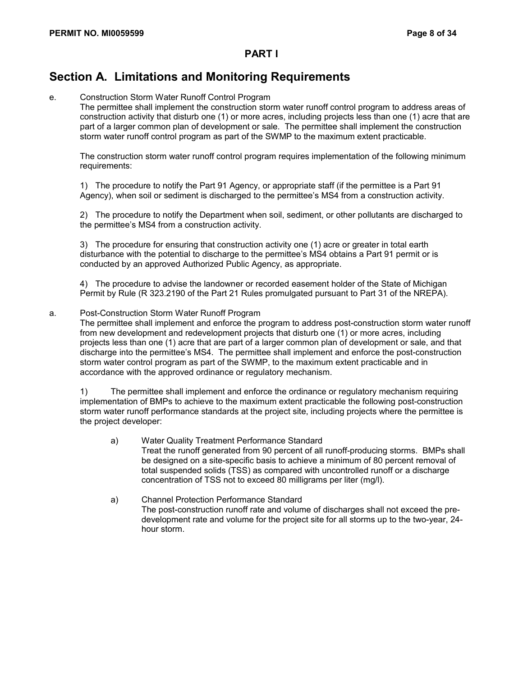# **Section A. Limitations and Monitoring Requirements**

#### e. Construction Storm Water Runoff Control Program

The permittee shall implement the construction storm water runoff control program to address areas of construction activity that disturb one (1) or more acres, including projects less than one (1) acre that are part of a larger common plan of development or sale. The permittee shall implement the construction storm water runoff control program as part of the SWMP to the maximum extent practicable.

The construction storm water runoff control program requires implementation of the following minimum requirements:

1) The procedure to notify the Part 91 Agency, or appropriate staff (if the permittee is a Part 91 Agency), when soil or sediment is discharged to the permittee's MS4 from a construction activity.

2) The procedure to notify the Department when soil, sediment, or other pollutants are discharged to the permittee's MS4 from a construction activity.

3) The procedure for ensuring that construction activity one (1) acre or greater in total earth disturbance with the potential to discharge to the permittee's MS4 obtains a Part 91 permit or is conducted by an approved Authorized Public Agency, as appropriate.

4) The procedure to advise the landowner or recorded easement holder of the State of Michigan Permit by Rule (R 323.2190 of the Part 21 Rules promulgated pursuant to Part 31 of the NREPA).

#### a. Post-Construction Storm Water Runoff Program

The permittee shall implement and enforce the program to address post-construction storm water runoff from new development and redevelopment projects that disturb one (1) or more acres, including projects less than one (1) acre that are part of a larger common plan of development or sale, and that discharge into the permittee's MS4. The permittee shall implement and enforce the post-construction storm water control program as part of the SWMP, to the maximum extent practicable and in accordance with the approved ordinance or regulatory mechanism.

1) The permittee shall implement and enforce the ordinance or regulatory mechanism requiring implementation of BMPs to achieve to the maximum extent practicable the following post-construction storm water runoff performance standards at the project site, including projects where the permittee is the project developer:

- a) Water Quality Treatment Performance Standard Treat the runoff generated from 90 percent of all runoff-producing storms. BMPs shall be designed on a site-specific basis to achieve a minimum of 80 percent removal of total suspended solids (TSS) as compared with uncontrolled runoff or a discharge concentration of TSS not to exceed 80 milligrams per liter (mg/l).
- a) Channel Protection Performance Standard The post-construction runoff rate and volume of discharges shall not exceed the predevelopment rate and volume for the project site for all storms up to the two-year, 24 hour storm.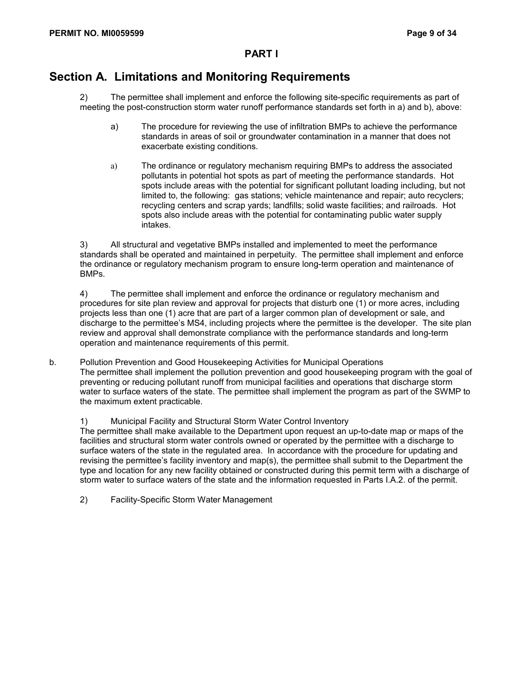### **Section A. Limitations and Monitoring Requirements**

2) The permittee shall implement and enforce the following site-specific requirements as part of meeting the post-construction storm water runoff performance standards set forth in a) and b), above:

- a) The procedure for reviewing the use of infiltration BMPs to achieve the performance standards in areas of soil or groundwater contamination in a manner that does not exacerbate existing conditions.
- a) The ordinance or regulatory mechanism requiring BMPs to address the associated pollutants in potential hot spots as part of meeting the performance standards. Hot spots include areas with the potential for significant pollutant loading including, but not limited to, the following: gas stations; vehicle maintenance and repair; auto recyclers; recycling centers and scrap yards; landfills; solid waste facilities; and railroads. Hot spots also include areas with the potential for contaminating public water supply intakes.

3) All structural and vegetative BMPs installed and implemented to meet the performance standards shall be operated and maintained in perpetuity. The permittee shall implement and enforce the ordinance or regulatory mechanism program to ensure long-term operation and maintenance of BMPs.

4) The permittee shall implement and enforce the ordinance or regulatory mechanism and procedures for site plan review and approval for projects that disturb one (1) or more acres, including projects less than one (1) acre that are part of a larger common plan of development or sale, and discharge to the permittee's MS4, including projects where the permittee is the developer. The site plan review and approval shall demonstrate compliance with the performance standards and long-term operation and maintenance requirements of this permit.

b. Pollution Prevention and Good Housekeeping Activities for Municipal Operations The permittee shall implement the pollution prevention and good housekeeping program with the goal of preventing or reducing pollutant runoff from municipal facilities and operations that discharge storm water to surface waters of the state. The permittee shall implement the program as part of the SWMP to the maximum extent practicable.

1) Municipal Facility and Structural Storm Water Control Inventory

The permittee shall make available to the Department upon request an up-to-date map or maps of the facilities and structural storm water controls owned or operated by the permittee with a discharge to surface waters of the state in the regulated area. In accordance with the procedure for updating and revising the permittee's facility inventory and map(s), the permittee shall submit to the Department the type and location for any new facility obtained or constructed during this permit term with a discharge of storm water to surface waters of the state and the information requested in Parts I.A.2. of the permit.

2) Facility-Specific Storm Water Management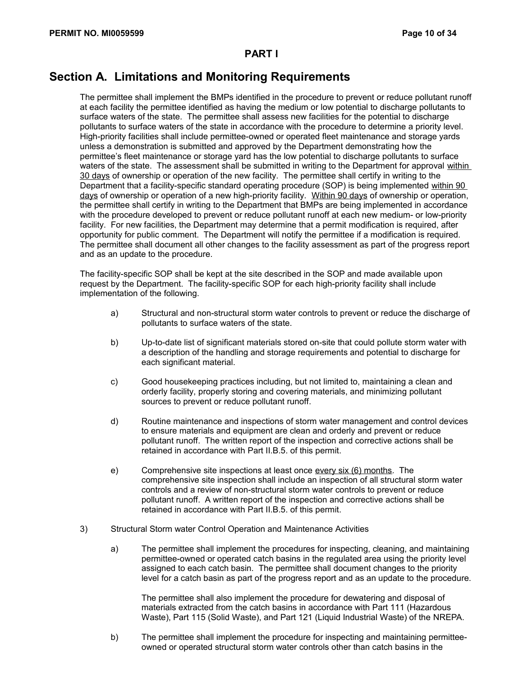## **Section A. Limitations and Monitoring Requirements**

The permittee shall implement the BMPs identified in the procedure to prevent or reduce pollutant runoff at each facility the permittee identified as having the medium or low potential to discharge pollutants to surface waters of the state. The permittee shall assess new facilities for the potential to discharge pollutants to surface waters of the state in accordance with the procedure to determine a priority level. High-priority facilities shall include permittee-owned or operated fleet maintenance and storage yards unless a demonstration is submitted and approved by the Department demonstrating how the permittee's fleet maintenance or storage yard has the low potential to discharge pollutants to surface waters of the state. The assessment shall be submitted in writing to the Department for approval within 30 days of ownership or operation of the new facility. The permittee shall certify in writing to the Department that a facility-specific standard operating procedure (SOP) is being implemented within 90 days of ownership or operation of a new high-priority facility. Within 90 days of ownership or operation, the permittee shall certify in writing to the Department that BMPs are being implemented in accordance with the procedure developed to prevent or reduce pollutant runoff at each new medium- or low-priority facility. For new facilities, the Department may determine that a permit modification is required, after opportunity for public comment. The Department will notify the permittee if a modification is required. The permittee shall document all other changes to the facility assessment as part of the progress report and as an update to the procedure.

The facility-specific SOP shall be kept at the site described in the SOP and made available upon request by the Department. The facility-specific SOP for each high-priority facility shall include implementation of the following.

- a) Structural and non-structural storm water controls to prevent or reduce the discharge of pollutants to surface waters of the state.
- b) Up-to-date list of significant materials stored on-site that could pollute storm water with a description of the handling and storage requirements and potential to discharge for each significant material.
- c) Good housekeeping practices including, but not limited to, maintaining a clean and orderly facility, properly storing and covering materials, and minimizing pollutant sources to prevent or reduce pollutant runoff.
- d) Routine maintenance and inspections of storm water management and control devices to ensure materials and equipment are clean and orderly and prevent or reduce pollutant runoff. The written report of the inspection and corrective actions shall be retained in accordance with Part II.B.5. of this permit.
- e) Comprehensive site inspections at least once every six (6) months. The comprehensive site inspection shall include an inspection of all structural storm water controls and a review of non-structural storm water controls to prevent or reduce pollutant runoff. A written report of the inspection and corrective actions shall be retained in accordance with Part II.B.5. of this permit.
- 3) Structural Storm water Control Operation and Maintenance Activities
	- a) The permittee shall implement the procedures for inspecting, cleaning, and maintaining permittee-owned or operated catch basins in the regulated area using the priority level assigned to each catch basin. The permittee shall document changes to the priority level for a catch basin as part of the progress report and as an update to the procedure.

The permittee shall also implement the procedure for dewatering and disposal of materials extracted from the catch basins in accordance with Part 111 (Hazardous Waste), Part 115 (Solid Waste), and Part 121 (Liquid Industrial Waste) of the NREPA.

b) The permittee shall implement the procedure for inspecting and maintaining permitteeowned or operated structural storm water controls other than catch basins in the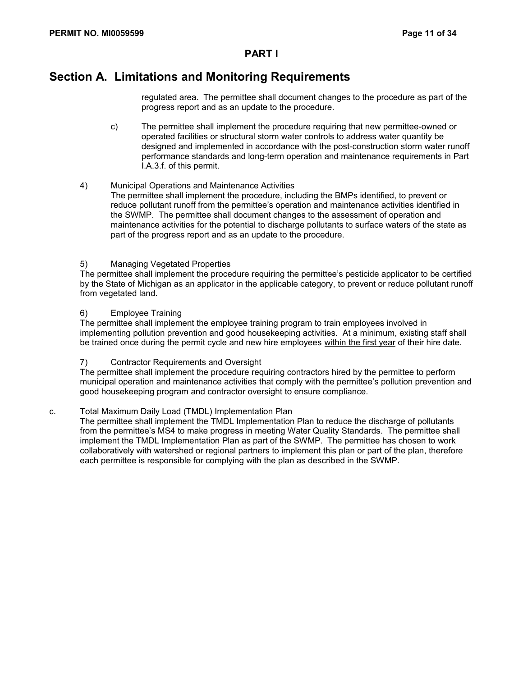## **Section A. Limitations and Monitoring Requirements**

regulated area. The permittee shall document changes to the procedure as part of the progress report and as an update to the procedure.

- c) The permittee shall implement the procedure requiring that new permittee-owned or operated facilities or structural storm water controls to address water quantity be designed and implemented in accordance with the post-construction storm water runoff performance standards and long-term operation and maintenance requirements in Part I.A.3.f. of this permit.
- 4) Municipal Operations and Maintenance Activities The permittee shall implement the procedure, including the BMPs identified, to prevent or reduce pollutant runoff from the permittee's operation and maintenance activities identified in the SWMP. The permittee shall document changes to the assessment of operation and maintenance activities for the potential to discharge pollutants to surface waters of the state as part of the progress report and as an update to the procedure.

#### 5) Managing Vegetated Properties

The permittee shall implement the procedure requiring the permittee's pesticide applicator to be certified by the State of Michigan as an applicator in the applicable category, to prevent or reduce pollutant runoff from vegetated land.

#### 6) Employee Training

The permittee shall implement the employee training program to train employees involved in implementing pollution prevention and good housekeeping activities. At a minimum, existing staff shall be trained once during the permit cycle and new hire employees within the first year of their hire date.

#### 7) Contractor Requirements and Oversight

The permittee shall implement the procedure requiring contractors hired by the permittee to perform municipal operation and maintenance activities that comply with the permittee's pollution prevention and good housekeeping program and contractor oversight to ensure compliance.

#### c. Total Maximum Daily Load (TMDL) Implementation Plan

The permittee shall implement the TMDL Implementation Plan to reduce the discharge of pollutants from the permittee's MS4 to make progress in meeting Water Quality Standards. The permittee shall implement the TMDL Implementation Plan as part of the SWMP. The permittee has chosen to work collaboratively with watershed or regional partners to implement this plan or part of the plan, therefore each permittee is responsible for complying with the plan as described in the SWMP.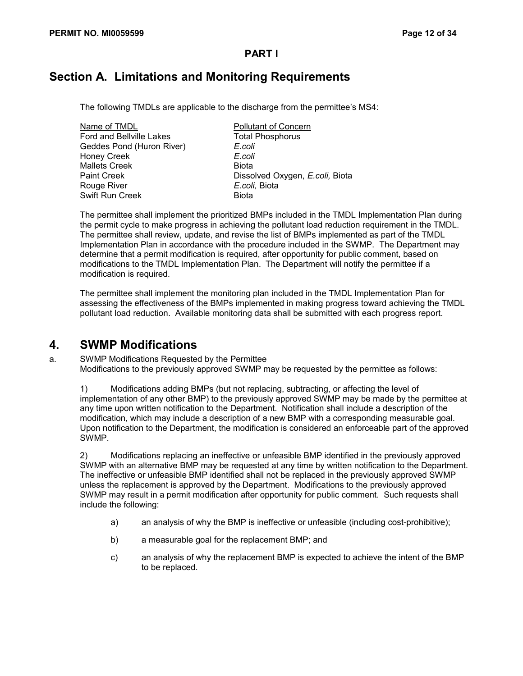# **Section A. Limitations and Monitoring Requirements**

The following TMDLs are applicable to the discharge from the permittee's MS4:

Name of TMDL Pollutant of Concern Ford and Bellville Lakes Total Phosphorus Geddes Pond (Huron River) *E.coli* Honey Creek *E.coli* Mallets Creek Biota Rouge River *E.coli,* Biota Swift Run Creek Biota

Paint Creek Dissolved Oxygen, *E.coli*, Biota

The permittee shall implement the prioritized BMPs included in the TMDL Implementation Plan during the permit cycle to make progress in achieving the pollutant load reduction requirement in the TMDL. The permittee shall review, update, and revise the list of BMPs implemented as part of the TMDL Implementation Plan in accordance with the procedure included in the SWMP. The Department may determine that a permit modification is required, after opportunity for public comment, based on modifications to the TMDL Implementation Plan. The Department will notify the permittee if a modification is required.

The permittee shall implement the monitoring plan included in the TMDL Implementation Plan for assessing the effectiveness of the BMPs implemented in making progress toward achieving the TMDL pollutant load reduction. Available monitoring data shall be submitted with each progress report.

### **4. SWMP Modifications**

a. SWMP Modifications Requested by the Permittee Modifications to the previously approved SWMP may be requested by the permittee as follows:

1) Modifications adding BMPs (but not replacing, subtracting, or affecting the level of implementation of any other BMP) to the previously approved SWMP may be made by the permittee at any time upon written notification to the Department. Notification shall include a description of the modification, which may include a description of a new BMP with a corresponding measurable goal. Upon notification to the Department, the modification is considered an enforceable part of the approved SWMP.

2) Modifications replacing an ineffective or unfeasible BMP identified in the previously approved SWMP with an alternative BMP may be requested at any time by written notification to the Department. The ineffective or unfeasible BMP identified shall not be replaced in the previously approved SWMP unless the replacement is approved by the Department. Modifications to the previously approved SWMP may result in a permit modification after opportunity for public comment. Such requests shall include the following:

- a) an analysis of why the BMP is ineffective or unfeasible (including cost-prohibitive);
- b) a measurable goal for the replacement BMP; and
- c) an analysis of why the replacement BMP is expected to achieve the intent of the BMP to be replaced.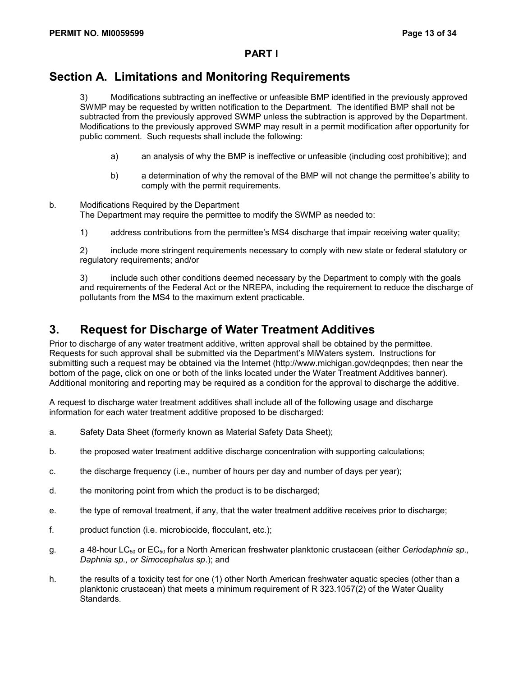## **Section A. Limitations and Monitoring Requirements**

3) Modifications subtracting an ineffective or unfeasible BMP identified in the previously approved SWMP may be requested by written notification to the Department. The identified BMP shall not be subtracted from the previously approved SWMP unless the subtraction is approved by the Department. Modifications to the previously approved SWMP may result in a permit modification after opportunity for public comment. Such requests shall include the following:

- a) an analysis of why the BMP is ineffective or unfeasible (including cost prohibitive); and
- b) a determination of why the removal of the BMP will not change the permittee's ability to comply with the permit requirements.
- b. Modifications Required by the Department The Department may require the permittee to modify the SWMP as needed to:
	- 1) address contributions from the permittee's MS4 discharge that impair receiving water quality;

2) include more stringent requirements necessary to comply with new state or federal statutory or regulatory requirements; and/or

3) include such other conditions deemed necessary by the Department to comply with the goals and requirements of the Federal Act or the NREPA, including the requirement to reduce the discharge of pollutants from the MS4 to the maximum extent practicable.

### **3. Request for Discharge of Water Treatment Additives**

Prior to discharge of any water treatment additive, written approval shall be obtained by the permittee. Requests for such approval shall be submitted via the Department's MiWaters system. Instructions for submitting such a request may be obtained via the Internet (http://www.michigan.gov/deqnpdes; then near the bottom of the page, click on one or both of the links located under the Water Treatment Additives banner). Additional monitoring and reporting may be required as a condition for the approval to discharge the additive.

A request to discharge water treatment additives shall include all of the following usage and discharge information for each water treatment additive proposed to be discharged:

- a. Safety Data Sheet (formerly known as Material Safety Data Sheet);
- b. the proposed water treatment additive discharge concentration with supporting calculations;
- c. the discharge frequency (i.e., number of hours per day and number of days per year);
- d. the monitoring point from which the product is to be discharged;
- e. the type of removal treatment, if any, that the water treatment additive receives prior to discharge;
- f. product function (i.e. microbiocide, flocculant, etc.);
- g. a 48-hour LC50 or EC50 for a North American freshwater planktonic crustacean (either *Ceriodaphnia sp., Daphnia sp., or Simocephalus sp*.); and
- h. the results of a toxicity test for one (1) other North American freshwater aquatic species (other than a planktonic crustacean) that meets a minimum requirement of R 323.1057(2) of the Water Quality Standards.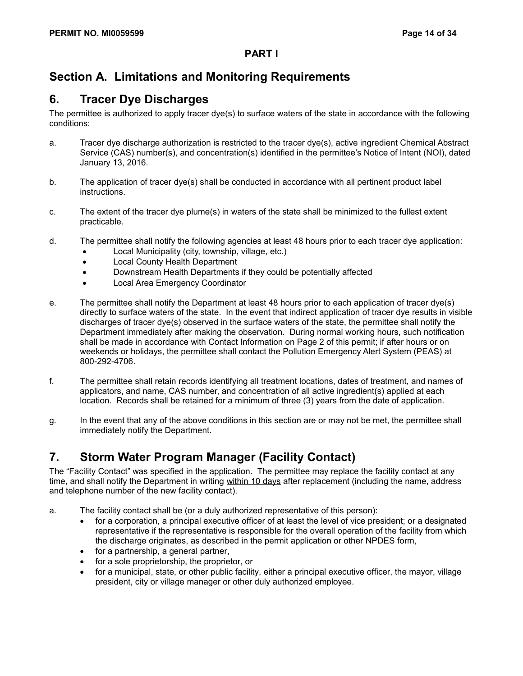# **Section A. Limitations and Monitoring Requirements**

### **6. Tracer Dye Discharges**

The permittee is authorized to apply tracer dye(s) to surface waters of the state in accordance with the following conditions:

- a. Tracer dye discharge authorization is restricted to the tracer dye(s), active ingredient Chemical Abstract Service (CAS) number(s), and concentration(s) identified in the permittee's Notice of Intent (NOI), dated January 13, 2016.
- b. The application of tracer dye(s) shall be conducted in accordance with all pertinent product label instructions.
- c. The extent of the tracer dye plume(s) in waters of the state shall be minimized to the fullest extent practicable.
- d. The permittee shall notify the following agencies at least 48 hours prior to each tracer dye application:
	- Local Municipality (city, township, village, etc.)
	- Local County Health Department
	- Downstream Health Departments if they could be potentially affected
	- Local Area Emergency Coordinator
- e. The permittee shall notify the Department at least 48 hours prior to each application of tracer dye(s) directly to surface waters of the state. In the event that indirect application of tracer dye results in visible discharges of tracer dye(s) observed in the surface waters of the state, the permittee shall notify the Department immediately after making the observation. During normal working hours, such notification shall be made in accordance with Contact Information on Page 2 of this permit; if after hours or on weekends or holidays, the permittee shall contact the Pollution Emergency Alert System (PEAS) at 800-292-4706.
- f. The permittee shall retain records identifying all treatment locations, dates of treatment, and names of applicators, and name, CAS number, and concentration of all active ingredient(s) applied at each location. Records shall be retained for a minimum of three (3) years from the date of application.
- g. In the event that any of the above conditions in this section are or may not be met, the permittee shall immediately notify the Department.

# **7. Storm Water Program Manager (Facility Contact)**

The "Facility Contact" was specified in the application. The permittee may replace the facility contact at any time, and shall notify the Department in writing within 10 days after replacement (including the name, address and telephone number of the new facility contact).

- a. The facility contact shall be (or a duly authorized representative of this person):
	- for a corporation, a principal executive officer of at least the level of vice president; or a designated representative if the representative is responsible for the overall operation of the facility from which the discharge originates, as described in the permit application or other NPDES form,
	- for a partnership, a general partner,
	- for a sole proprietorship, the proprietor, or
	- for a municipal, state, or other public facility, either a principal executive officer, the mayor, village president, city or village manager or other duly authorized employee.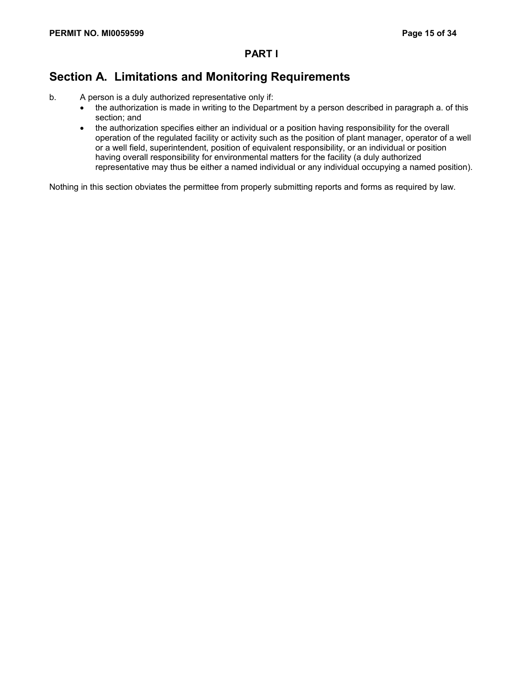## **Section A. Limitations and Monitoring Requirements**

- b. A person is a duly authorized representative only if:
	- the authorization is made in writing to the Department by a person described in paragraph a. of this section; and
	- the authorization specifies either an individual or a position having responsibility for the overall operation of the regulated facility or activity such as the position of plant manager, operator of a well or a well field, superintendent, position of equivalent responsibility, or an individual or position having overall responsibility for environmental matters for the facility (a duly authorized representative may thus be either a named individual or any individual occupying a named position).

Nothing in this section obviates the permittee from properly submitting reports and forms as required by law.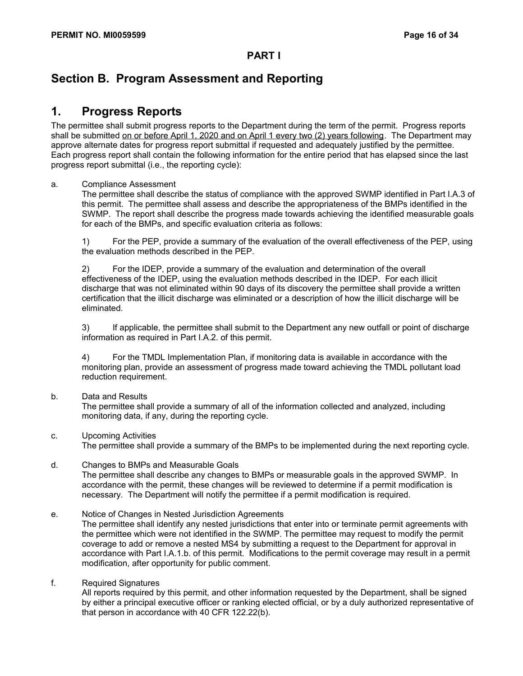### **Section B. Program Assessment and Reporting**

### **1. Progress Reports**

The permittee shall submit progress reports to the Department during the term of the permit. Progress reports shall be submitted on or before April 1, 2020 and on April 1 every two (2) years following. The Department may approve alternate dates for progress report submittal if requested and adequately justified by the permittee. Each progress report shall contain the following information for the entire period that has elapsed since the last progress report submittal (i.e., the reporting cycle):

#### a. Compliance Assessment

The permittee shall describe the status of compliance with the approved SWMP identified in Part I.A.3 of this permit. The permittee shall assess and describe the appropriateness of the BMPs identified in the SWMP. The report shall describe the progress made towards achieving the identified measurable goals for each of the BMPs, and specific evaluation criteria as follows:

1) For the PEP, provide a summary of the evaluation of the overall effectiveness of the PEP, using the evaluation methods described in the PEP.

2) For the IDEP, provide a summary of the evaluation and determination of the overall effectiveness of the IDEP, using the evaluation methods described in the IDEP. For each illicit discharge that was not eliminated within 90 days of its discovery the permittee shall provide a written certification that the illicit discharge was eliminated or a description of how the illicit discharge will be eliminated.

3) If applicable, the permittee shall submit to the Department any new outfall or point of discharge information as required in Part I.A.2. of this permit.

4) For the TMDL Implementation Plan, if monitoring data is available in accordance with the monitoring plan, provide an assessment of progress made toward achieving the TMDL pollutant load reduction requirement.

#### b. Data and Results

The permittee shall provide a summary of all of the information collected and analyzed, including monitoring data, if any, during the reporting cycle.

#### c. Upcoming Activities

The permittee shall provide a summary of the BMPs to be implemented during the next reporting cycle.

#### d. Changes to BMPs and Measurable Goals

The permittee shall describe any changes to BMPs or measurable goals in the approved SWMP. In accordance with the permit, these changes will be reviewed to determine if a permit modification is necessary. The Department will notify the permittee if a permit modification is required.

#### e. Notice of Changes in Nested Jurisdiction Agreements

The permittee shall identify any nested jurisdictions that enter into or terminate permit agreements with the permittee which were not identified in the SWMP. The permittee may request to modify the permit coverage to add or remove a nested MS4 by submitting a request to the Department for approval in accordance with Part I.A.1.b. of this permit. Modifications to the permit coverage may result in a permit modification, after opportunity for public comment.

#### f. Required Signatures

All reports required by this permit, and other information requested by the Department, shall be signed by either a principal executive officer or ranking elected official, or by a duly authorized representative of that person in accordance with 40 CFR 122.22(b).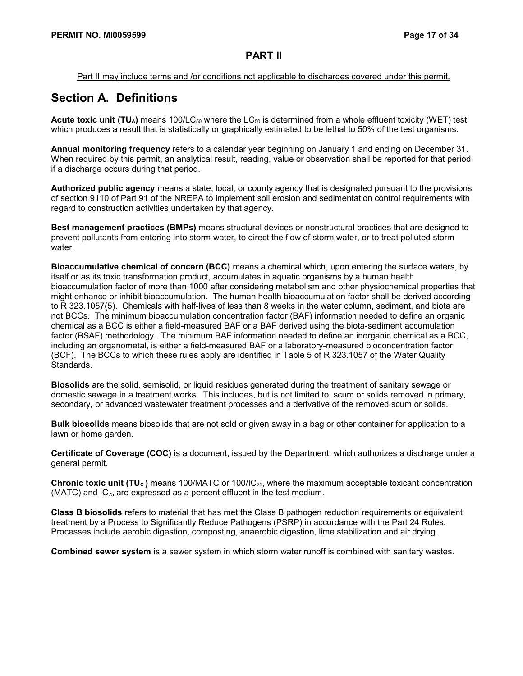#### Part II may include terms and /or conditions not applicable to discharges covered under this permit.

## **Section A. Definitions**

**Acute toxic unit (TU<sub>A</sub>)** means 100/LC<sub>50</sub> where the LC<sub>50</sub> is determined from a whole effluent toxicity (WET) test which produces a result that is statistically or graphically estimated to be lethal to 50% of the test organisms.

**Annual monitoring frequency** refers to a calendar year beginning on January 1 and ending on December 31. When required by this permit, an analytical result, reading, value or observation shall be reported for that period if a discharge occurs during that period.

**Authorized public agency** means a state, local, or county agency that is designated pursuant to the provisions of section 9110 of Part 91 of the NREPA to implement soil erosion and sedimentation control requirements with regard to construction activities undertaken by that agency.

**Best management practices (BMPs)** means structural devices or nonstructural practices that are designed to prevent pollutants from entering into storm water, to direct the flow of storm water, or to treat polluted storm water.

**Bioaccumulative chemical of concern (BCC)** means a chemical which, upon entering the surface waters, by itself or as its toxic transformation product, accumulates in aquatic organisms by a human health bioaccumulation factor of more than 1000 after considering metabolism and other physiochemical properties that might enhance or inhibit bioaccumulation. The human health bioaccumulation factor shall be derived according to R 323.1057(5). Chemicals with half-lives of less than 8 weeks in the water column, sediment, and biota are not BCCs. The minimum bioaccumulation concentration factor (BAF) information needed to define an organic chemical as a BCC is either a field-measured BAF or a BAF derived using the biota-sediment accumulation factor (BSAF) methodology. The minimum BAF information needed to define an inorganic chemical as a BCC, including an organometal, is either a field-measured BAF or a laboratory-measured bioconcentration factor (BCF). The BCCs to which these rules apply are identified in Table 5 of R 323.1057 of the Water Quality Standards.

**Biosolids** are the solid, semisolid, or liquid residues generated during the treatment of sanitary sewage or domestic sewage in a treatment works. This includes, but is not limited to, scum or solids removed in primary, secondary, or advanced wastewater treatment processes and a derivative of the removed scum or solids.

**Bulk biosolids** means biosolids that are not sold or given away in a bag or other container for application to a lawn or home garden.

**Certificate of Coverage (COC)** is a document, issued by the Department, which authorizes a discharge under a general permit.

**Chronic toxic unit (TU<sub>c</sub>)** means 100/MATC or 100/IC<sub>25</sub>, where the maximum acceptable toxicant concentration (MATC) and  $IC_{25}$  are expressed as a percent effluent in the test medium.

**Class B biosolids** refers to material that has met the Class B pathogen reduction requirements or equivalent treatment by a Process to Significantly Reduce Pathogens (PSRP) in accordance with the Part 24 Rules. Processes include aerobic digestion, composting, anaerobic digestion, lime stabilization and air drying.

**Combined sewer system** is a sewer system in which storm water runoff is combined with sanitary wastes.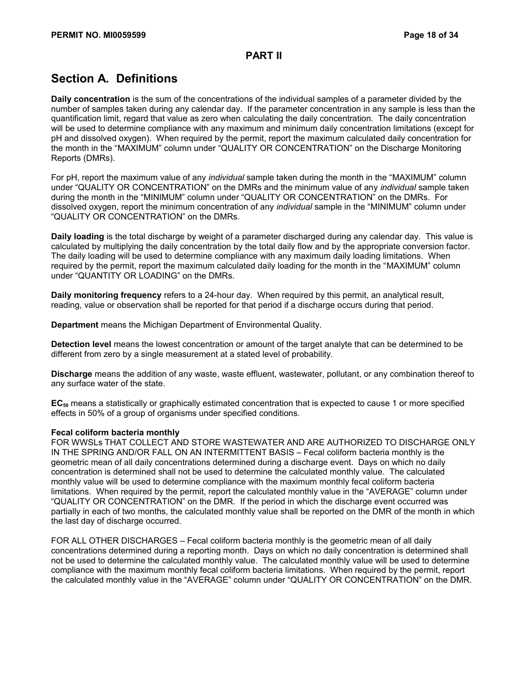# **Section A. Definitions**

**Daily concentration** is the sum of the concentrations of the individual samples of a parameter divided by the number of samples taken during any calendar day. If the parameter concentration in any sample is less than the quantification limit, regard that value as zero when calculating the daily concentration. The daily concentration will be used to determine compliance with any maximum and minimum daily concentration limitations (except for pH and dissolved oxygen). When required by the permit, report the maximum calculated daily concentration for the month in the "MAXIMUM" column under "QUALITY OR CONCENTRATION" on the Discharge Monitoring Reports (DMRs).

For pH, report the maximum value of any *individual* sample taken during the month in the "MAXIMUM" column under "QUALITY OR CONCENTRATION" on the DMRs and the minimum value of any *individual* sample taken during the month in the "MINIMUM" column under "QUALITY OR CONCENTRATION" on the DMRs. For dissolved oxygen, report the minimum concentration of any *individual* sample in the "MINIMUM" column under "QUALITY OR CONCENTRATION" on the DMRs.

**Daily loading** is the total discharge by weight of a parameter discharged during any calendar day. This value is calculated by multiplying the daily concentration by the total daily flow and by the appropriate conversion factor. The daily loading will be used to determine compliance with any maximum daily loading limitations. When required by the permit, report the maximum calculated daily loading for the month in the "MAXIMUM" column under "QUANTITY OR LOADING" on the DMRs.

**Daily monitoring frequency** refers to a 24-hour day. When required by this permit, an analytical result, reading, value or observation shall be reported for that period if a discharge occurs during that period.

**Department** means the Michigan Department of Environmental Quality.

**Detection level** means the lowest concentration or amount of the target analyte that can be determined to be different from zero by a single measurement at a stated level of probability.

**Discharge** means the addition of any waste, waste effluent, wastewater, pollutant, or any combination thereof to any surface water of the state.

**EC50** means a statistically or graphically estimated concentration that is expected to cause 1 or more specified effects in 50% of a group of organisms under specified conditions.

#### **Fecal coliform bacteria monthly**

FOR WWSLs THAT COLLECT AND STORE WASTEWATER AND ARE AUTHORIZED TO DISCHARGE ONLY IN THE SPRING AND/OR FALL ON AN INTERMITTENT BASIS – Fecal coliform bacteria monthly is the geometric mean of all daily concentrations determined during a discharge event. Days on which no daily concentration is determined shall not be used to determine the calculated monthly value. The calculated monthly value will be used to determine compliance with the maximum monthly fecal coliform bacteria limitations. When required by the permit, report the calculated monthly value in the "AVERAGE" column under "QUALITY OR CONCENTRATION" on the DMR. If the period in which the discharge event occurred was partially in each of two months, the calculated monthly value shall be reported on the DMR of the month in which the last day of discharge occurred.

FOR ALL OTHER DISCHARGES – Fecal coliform bacteria monthly is the geometric mean of all daily concentrations determined during a reporting month. Days on which no daily concentration is determined shall not be used to determine the calculated monthly value. The calculated monthly value will be used to determine compliance with the maximum monthly fecal coliform bacteria limitations. When required by the permit, report the calculated monthly value in the "AVERAGE" column under "QUALITY OR CONCENTRATION" on the DMR.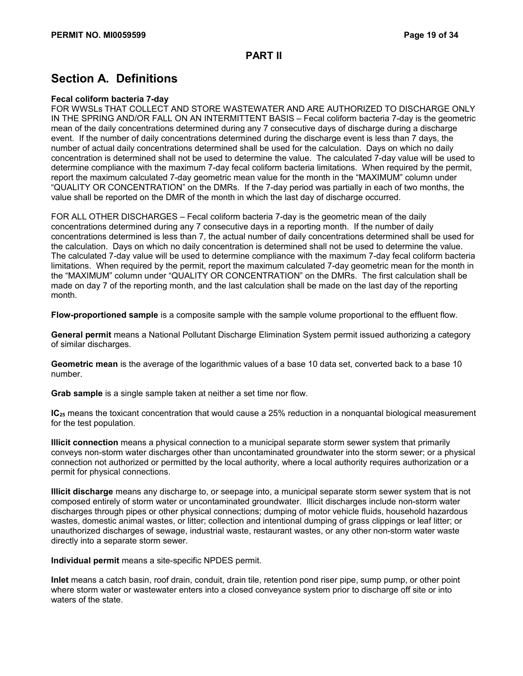# **Section A. Definitions**

#### **Fecal coliform bacteria 7-day**

FOR WWSLs THAT COLLECT AND STORE WASTEWATER AND ARE AUTHORIZED TO DISCHARGE ONLY IN THE SPRING AND/OR FALL ON AN INTERMITTENT BASIS – Fecal coliform bacteria 7-day is the geometric mean of the daily concentrations determined during any 7 consecutive days of discharge during a discharge event. If the number of daily concentrations determined during the discharge event is less than 7 days, the number of actual daily concentrations determined shall be used for the calculation. Days on which no daily concentration is determined shall not be used to determine the value. The calculated 7-day value will be used to determine compliance with the maximum 7-day fecal coliform bacteria limitations. When required by the permit, report the maximum calculated 7-day geometric mean value for the month in the "MAXIMUM" column under "QUALITY OR CONCENTRATION" on the DMRs. If the 7-day period was partially in each of two months, the value shall be reported on the DMR of the month in which the last day of discharge occurred.

FOR ALL OTHER DISCHARGES – Fecal coliform bacteria 7-day is the geometric mean of the daily concentrations determined during any 7 consecutive days in a reporting month. If the number of daily concentrations determined is less than 7, the actual number of daily concentrations determined shall be used for the calculation. Days on which no daily concentration is determined shall not be used to determine the value. The calculated 7-day value will be used to determine compliance with the maximum 7-day fecal coliform bacteria limitations. When required by the permit, report the maximum calculated 7-day geometric mean for the month in the "MAXIMUM" column under "QUALITY OR CONCENTRATION" on the DMRs. The first calculation shall be made on day 7 of the reporting month, and the last calculation shall be made on the last day of the reporting month.

**Flow-proportioned sample** is a composite sample with the sample volume proportional to the effluent flow.

**General permit** means a National Pollutant Discharge Elimination System permit issued authorizing a category of similar discharges.

**Geometric mean** is the average of the logarithmic values of a base 10 data set, converted back to a base 10 number.

**Grab sample** is a single sample taken at neither a set time nor flow.

**IC**<sub>25</sub> means the toxicant concentration that would cause a 25% reduction in a nonquantal biological measurement for the test population.

**Illicit connection** means a physical connection to a municipal separate storm sewer system that primarily conveys non-storm water discharges other than uncontaminated groundwater into the storm sewer; or a physical connection not authorized or permitted by the local authority, where a local authority requires authorization or a permit for physical connections.

**Illicit discharge** means any discharge to, or seepage into, a municipal separate storm sewer system that is not composed entirely of storm water or uncontaminated groundwater. Illicit discharges include non-storm water discharges through pipes or other physical connections; dumping of motor vehicle fluids, household hazardous wastes, domestic animal wastes, or litter; collection and intentional dumping of grass clippings or leaf litter; or unauthorized discharges of sewage, industrial waste, restaurant wastes, or any other non-storm water waste directly into a separate storm sewer.

**Individual permit** means a site-specific NPDES permit.

**Inlet** means a catch basin, roof drain, conduit, drain tile, retention pond riser pipe, sump pump, or other point where storm water or wastewater enters into a closed conveyance system prior to discharge off site or into waters of the state.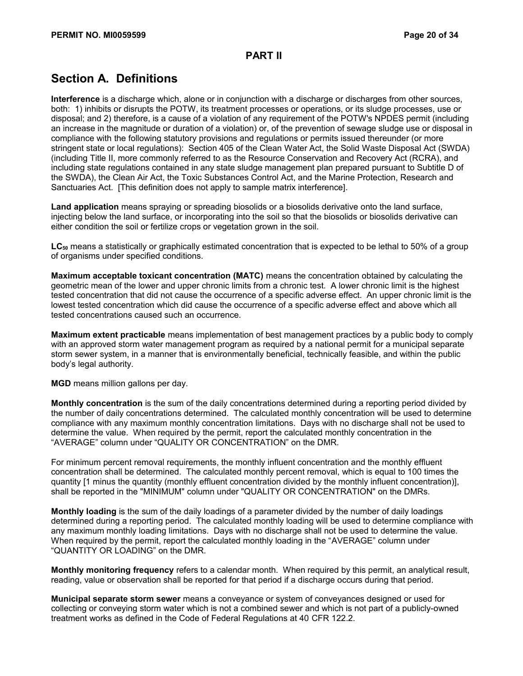# **Section A. Definitions**

**Interference** is a discharge which, alone or in conjunction with a discharge or discharges from other sources, both: 1) inhibits or disrupts the POTW, its treatment processes or operations, or its sludge processes, use or disposal; and 2) therefore, is a cause of a violation of any requirement of the POTW's NPDES permit (including an increase in the magnitude or duration of a violation) or, of the prevention of sewage sludge use or disposal in compliance with the following statutory provisions and regulations or permits issued thereunder (or more stringent state or local regulations): Section 405 of the Clean Water Act, the Solid Waste Disposal Act (SWDA) (including Title II, more commonly referred to as the Resource Conservation and Recovery Act (RCRA), and including state regulations contained in any state sludge management plan prepared pursuant to Subtitle D of the SWDA), the Clean Air Act, the Toxic Substances Control Act, and the Marine Protection, Research and Sanctuaries Act. [This definition does not apply to sample matrix interference].

**Land application** means spraying or spreading biosolids or a biosolids derivative onto the land surface, injecting below the land surface, or incorporating into the soil so that the biosolids or biosolids derivative can either condition the soil or fertilize crops or vegetation grown in the soil.

**LC50** means a statistically or graphically estimated concentration that is expected to be lethal to 50% of a group of organisms under specified conditions.

**Maximum acceptable toxicant concentration (MATC)** means the concentration obtained by calculating the geometric mean of the lower and upper chronic limits from a chronic test. A lower chronic limit is the highest tested concentration that did not cause the occurrence of a specific adverse effect. An upper chronic limit is the lowest tested concentration which did cause the occurrence of a specific adverse effect and above which all tested concentrations caused such an occurrence.

**Maximum extent practicable** means implementation of best management practices by a public body to comply with an approved storm water management program as required by a national permit for a municipal separate storm sewer system, in a manner that is environmentally beneficial, technically feasible, and within the public body's legal authority.

**MGD** means million gallons per day.

**Monthly concentration** is the sum of the daily concentrations determined during a reporting period divided by the number of daily concentrations determined. The calculated monthly concentration will be used to determine compliance with any maximum monthly concentration limitations. Days with no discharge shall not be used to determine the value. When required by the permit, report the calculated monthly concentration in the "AVERAGE" column under "QUALITY OR CONCENTRATION" on the DMR.

For minimum percent removal requirements, the monthly influent concentration and the monthly effluent concentration shall be determined. The calculated monthly percent removal, which is equal to 100 times the quantity [1 minus the quantity (monthly effluent concentration divided by the monthly influent concentration)], shall be reported in the "MINIMUM" column under "QUALITY OR CONCENTRATION" on the DMRs.

**Monthly loading** is the sum of the daily loadings of a parameter divided by the number of daily loadings determined during a reporting period. The calculated monthly loading will be used to determine compliance with any maximum monthly loading limitations. Days with no discharge shall not be used to determine the value. When required by the permit, report the calculated monthly loading in the "AVERAGE" column under "QUANTITY OR LOADING" on the DMR.

**Monthly monitoring frequency** refers to a calendar month. When required by this permit, an analytical result, reading, value or observation shall be reported for that period if a discharge occurs during that period.

**Municipal separate storm sewer** means a conveyance or system of conveyances designed or used for collecting or conveying storm water which is not a combined sewer and which is not part of a publicly-owned treatment works as defined in the Code of Federal Regulations at 40 CFR 122.2.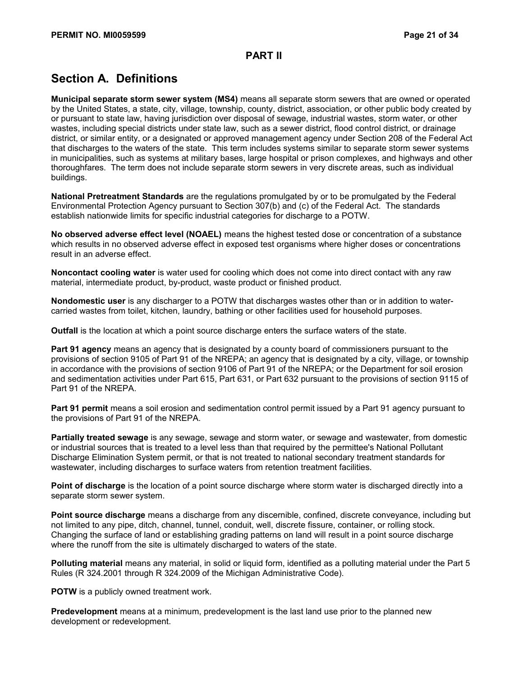# **Section A. Definitions**

**Municipal separate storm sewer system (MS4)** means all separate storm sewers that are owned or operated by the United States, a state, city, village, township, county, district, association, or other public body created by or pursuant to state law, having jurisdiction over disposal of sewage, industrial wastes, storm water, or other wastes, including special districts under state law, such as a sewer district, flood control district, or drainage district, or similar entity, or a designated or approved management agency under Section 208 of the Federal Act that discharges to the waters of the state. This term includes systems similar to separate storm sewer systems in municipalities, such as systems at military bases, large hospital or prison complexes, and highways and other thoroughfares. The term does not include separate storm sewers in very discrete areas, such as individual buildings.

**National Pretreatment Standards** are the regulations promulgated by or to be promulgated by the Federal Environmental Protection Agency pursuant to Section 307(b) and (c) of the Federal Act. The standards establish nationwide limits for specific industrial categories for discharge to a POTW.

**No observed adverse effect level (NOAEL)** means the highest tested dose or concentration of a substance which results in no observed adverse effect in exposed test organisms where higher doses or concentrations result in an adverse effect.

**Noncontact cooling water** is water used for cooling which does not come into direct contact with any raw material, intermediate product, by-product, waste product or finished product.

**Nondomestic user** is any discharger to a POTW that discharges wastes other than or in addition to watercarried wastes from toilet, kitchen, laundry, bathing or other facilities used for household purposes.

**Outfall** is the location at which a point source discharge enters the surface waters of the state.

**Part 91 agency** means an agency that is designated by a county board of commissioners pursuant to the provisions of section 9105 of Part 91 of the NREPA; an agency that is designated by a city, village, or township in accordance with the provisions of section 9106 of Part 91 of the NREPA; or the Department for soil erosion and sedimentation activities under Part 615, Part 631, or Part 632 pursuant to the provisions of section 9115 of Part 91 of the NREPA.

**Part 91 permit** means a soil erosion and sedimentation control permit issued by a Part 91 agency pursuant to the provisions of Part 91 of the NREPA.

**Partially treated sewage** is any sewage, sewage and storm water, or sewage and wastewater, from domestic or industrial sources that is treated to a level less than that required by the permittee's National Pollutant Discharge Elimination System permit, or that is not treated to national secondary treatment standards for wastewater, including discharges to surface waters from retention treatment facilities.

**Point of discharge** is the location of a point source discharge where storm water is discharged directly into a separate storm sewer system.

**Point source discharge** means a discharge from any discernible, confined, discrete conveyance, including but not limited to any pipe, ditch, channel, tunnel, conduit, well, discrete fissure, container, or rolling stock. Changing the surface of land or establishing grading patterns on land will result in a point source discharge where the runoff from the site is ultimately discharged to waters of the state.

**Polluting material** means any material, in solid or liquid form, identified as a polluting material under the Part 5 Rules (R 324.2001 through R 324.2009 of the Michigan Administrative Code).

**POTW** is a publicly owned treatment work.

**Predevelopment** means at a minimum, predevelopment is the last land use prior to the planned new development or redevelopment.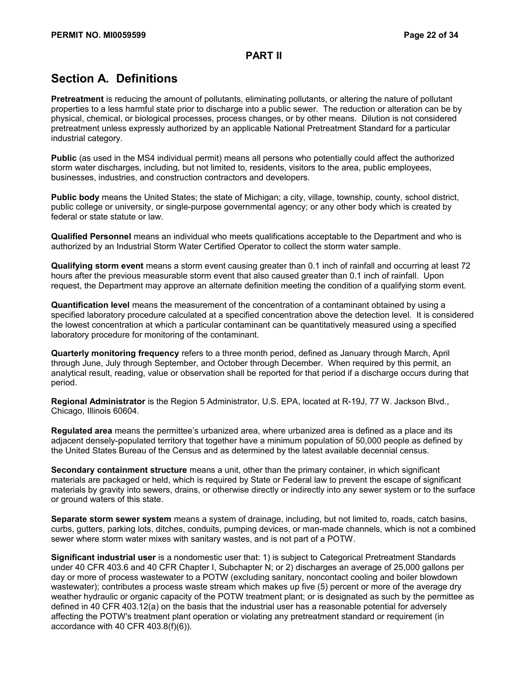## **Section A. Definitions**

**Pretreatment** is reducing the amount of pollutants, eliminating pollutants, or altering the nature of pollutant properties to a less harmful state prior to discharge into a public sewer. The reduction or alteration can be by physical, chemical, or biological processes, process changes, or by other means. Dilution is not considered pretreatment unless expressly authorized by an applicable National Pretreatment Standard for a particular industrial category.

**Public** (as used in the MS4 individual permit) means all persons who potentially could affect the authorized storm water discharges, including, but not limited to, residents, visitors to the area, public employees, businesses, industries, and construction contractors and developers.

**Public body** means the United States; the state of Michigan; a city, village, township, county, school district, public college or university, or single-purpose governmental agency; or any other body which is created by federal or state statute or law.

**Qualified Personnel** means an individual who meets qualifications acceptable to the Department and who is authorized by an Industrial Storm Water Certified Operator to collect the storm water sample.

**Qualifying storm event** means a storm event causing greater than 0.1 inch of rainfall and occurring at least 72 hours after the previous measurable storm event that also caused greater than 0.1 inch of rainfall. Upon request, the Department may approve an alternate definition meeting the condition of a qualifying storm event.

**Quantification level** means the measurement of the concentration of a contaminant obtained by using a specified laboratory procedure calculated at a specified concentration above the detection level. It is considered the lowest concentration at which a particular contaminant can be quantitatively measured using a specified laboratory procedure for monitoring of the contaminant.

**Quarterly monitoring frequency** refers to a three month period, defined as January through March, April through June, July through September, and October through December. When required by this permit, an analytical result, reading, value or observation shall be reported for that period if a discharge occurs during that period.

**Regional Administrator** is the Region 5 Administrator, U.S. EPA, located at R-19J, 77 W. Jackson Blvd., Chicago, Illinois 60604.

**Regulated area** means the permittee's urbanized area, where urbanized area is defined as a place and its adjacent densely-populated territory that together have a minimum population of 50,000 people as defined by the United States Bureau of the Census and as determined by the latest available decennial census.

**Secondary containment structure** means a unit, other than the primary container, in which significant materials are packaged or held, which is required by State or Federal law to prevent the escape of significant materials by gravity into sewers, drains, or otherwise directly or indirectly into any sewer system or to the surface or ground waters of this state.

**Separate storm sewer system** means a system of drainage, including, but not limited to, roads, catch basins, curbs, gutters, parking lots, ditches, conduits, pumping devices, or man-made channels, which is not a combined sewer where storm water mixes with sanitary wastes, and is not part of a POTW.

**Significant industrial user** is a nondomestic user that: 1) is subject to Categorical Pretreatment Standards under 40 CFR 403.6 and 40 CFR Chapter I, Subchapter N; or 2) discharges an average of 25,000 gallons per day or more of process wastewater to a POTW (excluding sanitary, noncontact cooling and boiler blowdown wastewater); contributes a process waste stream which makes up five (5) percent or more of the average dry weather hydraulic or organic capacity of the POTW treatment plant; or is designated as such by the permittee as defined in 40 CFR 403.12(a) on the basis that the industrial user has a reasonable potential for adversely affecting the POTW's treatment plant operation or violating any pretreatment standard or requirement (in accordance with 40 CFR 403.8(f)(6)).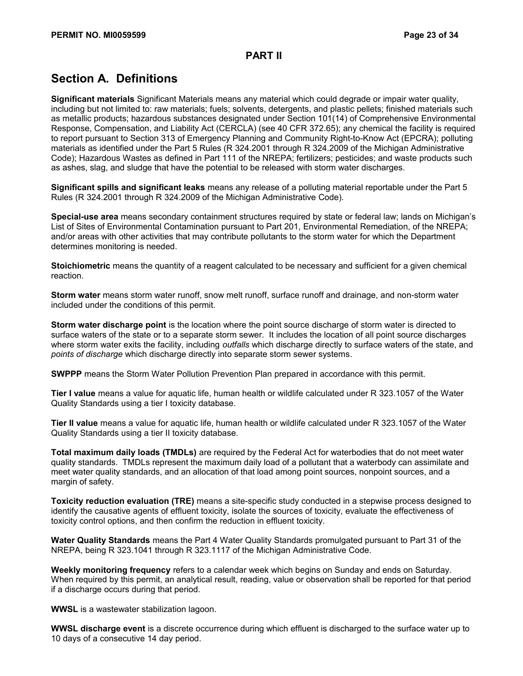# **Section A. Definitions**

**Significant materials** Significant Materials means any material which could degrade or impair water quality, including but not limited to: raw materials; fuels; solvents, detergents, and plastic pellets; finished materials such as metallic products; hazardous substances designated under Section 101(14) of Comprehensive Environmental Response, Compensation, and Liability Act (CERCLA) (see 40 CFR 372.65); any chemical the facility is required to report pursuant to Section 313 of Emergency Planning and Community Right-to-Know Act (EPCRA); polluting materials as identified under the Part 5 Rules (R 324.2001 through R 324.2009 of the Michigan Administrative Code); Hazardous Wastes as defined in Part 111 of the NREPA; fertilizers; pesticides; and waste products such as ashes, slag, and sludge that have the potential to be released with storm water discharges.

**Significant spills and significant leaks** means any release of a polluting material reportable under the Part 5 Rules (R 324.2001 through R 324.2009 of the Michigan Administrative Code).

**Special-use area** means secondary containment structures required by state or federal law; lands on Michigan's List of Sites of Environmental Contamination pursuant to Part 201, Environmental Remediation, of the NREPA; and/or areas with other activities that may contribute pollutants to the storm water for which the Department determines monitoring is needed.

**Stoichiometric** means the quantity of a reagent calculated to be necessary and sufficient for a given chemical reaction.

**Storm water** means storm water runoff, snow melt runoff, surface runoff and drainage, and non-storm water included under the conditions of this permit.

**Storm water discharge point** is the location where the point source discharge of storm water is directed to surface waters of the state or to a separate storm sewer. It includes the location of all point source discharges where storm water exits the facility, including *outfalls* which discharge directly to surface waters of the state, and *points of discharge* which discharge directly into separate storm sewer systems.

**SWPPP** means the Storm Water Pollution Prevention Plan prepared in accordance with this permit.

**Tier I value** means a value for aquatic life, human health or wildlife calculated under R 323.1057 of the Water Quality Standards using a tier I toxicity database.

**Tier II value** means a value for aquatic life, human health or wildlife calculated under R 323.1057 of the Water Quality Standards using a tier II toxicity database.

**Total maximum daily loads (TMDLs)** are required by the Federal Act for waterbodies that do not meet water quality standards. TMDLs represent the maximum daily load of a pollutant that a waterbody can assimilate and meet water quality standards, and an allocation of that load among point sources, nonpoint sources, and a margin of safety.

**Toxicity reduction evaluation (TRE)** means a site-specific study conducted in a stepwise process designed to identify the causative agents of effluent toxicity, isolate the sources of toxicity, evaluate the effectiveness of toxicity control options, and then confirm the reduction in effluent toxicity.

**Water Quality Standards** means the Part 4 Water Quality Standards promulgated pursuant to Part 31 of the NREPA, being R 323.1041 through R 323.1117 of the Michigan Administrative Code.

**Weekly monitoring frequency** refers to a calendar week which begins on Sunday and ends on Saturday. When required by this permit, an analytical result, reading, value or observation shall be reported for that period if a discharge occurs during that period.

**WWSL** is a wastewater stabilization lagoon.

**WWSL discharge event** is a discrete occurrence during which effluent is discharged to the surface water up to 10 days of a consecutive 14 day period.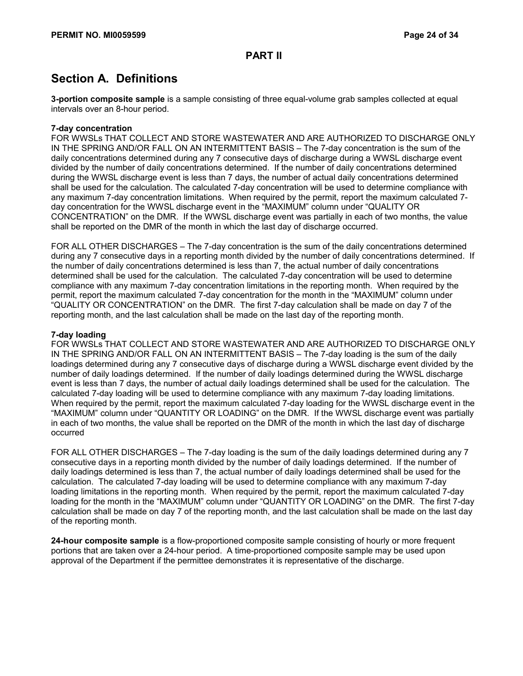## **Section A. Definitions**

**3-portion composite sample** is a sample consisting of three equal-volume grab samples collected at equal intervals over an 8-hour period.

#### **7-day concentration**

FOR WWSLs THAT COLLECT AND STORE WASTEWATER AND ARE AUTHORIZED TO DISCHARGE ONLY IN THE SPRING AND/OR FALL ON AN INTERMITTENT BASIS – The 7-day concentration is the sum of the daily concentrations determined during any 7 consecutive days of discharge during a WWSL discharge event divided by the number of daily concentrations determined. If the number of daily concentrations determined during the WWSL discharge event is less than 7 days, the number of actual daily concentrations determined shall be used for the calculation. The calculated 7-day concentration will be used to determine compliance with any maximum 7-day concentration limitations. When required by the permit, report the maximum calculated 7 day concentration for the WWSL discharge event in the "MAXIMUM" column under "QUALITY OR CONCENTRATION" on the DMR. If the WWSL discharge event was partially in each of two months, the value shall be reported on the DMR of the month in which the last day of discharge occurred.

FOR ALL OTHER DISCHARGES – The 7-day concentration is the sum of the daily concentrations determined during any 7 consecutive days in a reporting month divided by the number of daily concentrations determined. If the number of daily concentrations determined is less than 7, the actual number of daily concentrations determined shall be used for the calculation. The calculated 7-day concentration will be used to determine compliance with any maximum 7-day concentration limitations in the reporting month. When required by the permit, report the maximum calculated 7-day concentration for the month in the "MAXIMUM" column under "QUALITY OR CONCENTRATION" on the DMR. The first 7-day calculation shall be made on day 7 of the reporting month, and the last calculation shall be made on the last day of the reporting month.

#### **7-day loading**

FOR WWSLs THAT COLLECT AND STORE WASTEWATER AND ARE AUTHORIZED TO DISCHARGE ONLY IN THE SPRING AND/OR FALL ON AN INTERMITTENT BASIS – The 7-day loading is the sum of the daily loadings determined during any 7 consecutive days of discharge during a WWSL discharge event divided by the number of daily loadings determined. If the number of daily loadings determined during the WWSL discharge event is less than 7 days, the number of actual daily loadings determined shall be used for the calculation. The calculated 7-day loading will be used to determine compliance with any maximum 7-day loading limitations. When required by the permit, report the maximum calculated 7-day loading for the WWSL discharge event in the "MAXIMUM" column under "QUANTITY OR LOADING" on the DMR. If the WWSL discharge event was partially in each of two months, the value shall be reported on the DMR of the month in which the last day of discharge occurred

FOR ALL OTHER DISCHARGES – The 7-day loading is the sum of the daily loadings determined during any 7 consecutive days in a reporting month divided by the number of daily loadings determined. If the number of daily loadings determined is less than 7, the actual number of daily loadings determined shall be used for the calculation. The calculated 7-day loading will be used to determine compliance with any maximum 7-day loading limitations in the reporting month. When required by the permit, report the maximum calculated 7-day loading for the month in the "MAXIMUM" column under "QUANTITY OR LOADING" on the DMR. The first 7-day calculation shall be made on day 7 of the reporting month, and the last calculation shall be made on the last day of the reporting month.

**24-hour composite sample** is a flow-proportioned composite sample consisting of hourly or more frequent portions that are taken over a 24-hour period. A time-proportioned composite sample may be used upon approval of the Department if the permittee demonstrates it is representative of the discharge.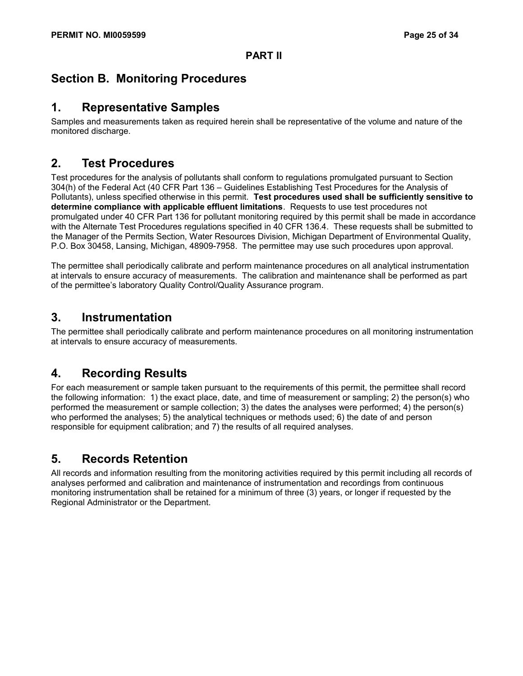# **Section B. Monitoring Procedures**

### **1. Representative Samples**

Samples and measurements taken as required herein shall be representative of the volume and nature of the monitored discharge.

### **2. Test Procedures**

Test procedures for the analysis of pollutants shall conform to regulations promulgated pursuant to Section 304(h) of the Federal Act (40 CFR Part 136 – Guidelines Establishing Test Procedures for the Analysis of Pollutants), unless specified otherwise in this permit. **Test procedures used shall be sufficiently sensitive to determine compliance with applicable effluent limitations**. Requests to use test procedures not promulgated under 40 CFR Part 136 for pollutant monitoring required by this permit shall be made in accordance with the Alternate Test Procedures regulations specified in 40 CFR 136.4. These requests shall be submitted to the Manager of the Permits Section, Water Resources Division, Michigan Department of Environmental Quality, P.O. Box 30458, Lansing, Michigan, 48909-7958. The permittee may use such procedures upon approval.

The permittee shall periodically calibrate and perform maintenance procedures on all analytical instrumentation at intervals to ensure accuracy of measurements. The calibration and maintenance shall be performed as part of the permittee's laboratory Quality Control/Quality Assurance program.

### **3. Instrumentation**

The permittee shall periodically calibrate and perform maintenance procedures on all monitoring instrumentation at intervals to ensure accuracy of measurements.

### **4. Recording Results**

For each measurement or sample taken pursuant to the requirements of this permit, the permittee shall record the following information: 1) the exact place, date, and time of measurement or sampling; 2) the person(s) who performed the measurement or sample collection; 3) the dates the analyses were performed; 4) the person(s) who performed the analyses; 5) the analytical techniques or methods used; 6) the date of and person responsible for equipment calibration; and 7) the results of all required analyses.

# **5. Records Retention**

All records and information resulting from the monitoring activities required by this permit including all records of analyses performed and calibration and maintenance of instrumentation and recordings from continuous monitoring instrumentation shall be retained for a minimum of three (3) years, or longer if requested by the Regional Administrator or the Department.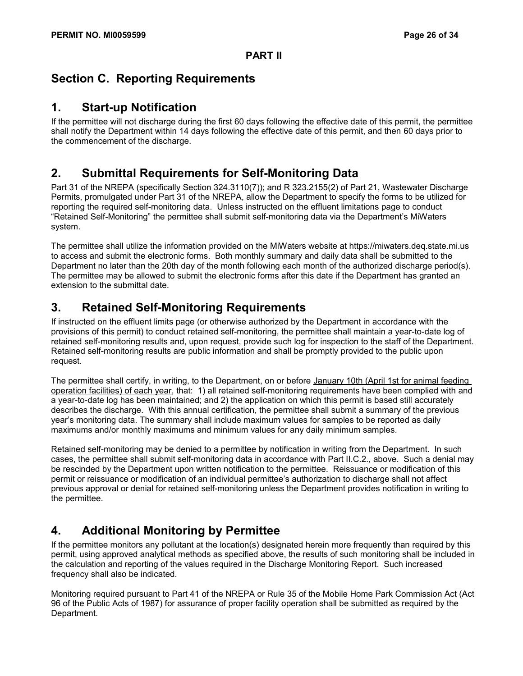# **Section C. Reporting Requirements**

### **1. Start-up Notification**

If the permittee will not discharge during the first 60 days following the effective date of this permit, the permittee shall notify the Department within 14 days following the effective date of this permit, and then 60 days prior to the commencement of the discharge.

# **2. Submittal Requirements for Self-Monitoring Data**

Part 31 of the NREPA (specifically Section 324.3110(7)); and R 323.2155(2) of Part 21, Wastewater Discharge Permits, promulgated under Part 31 of the NREPA, allow the Department to specify the forms to be utilized for reporting the required self-monitoring data. Unless instructed on the effluent limitations page to conduct "Retained Self-Monitoring" the permittee shall submit self-monitoring data via the Department's MiWaters system.

The permittee shall utilize the information provided on the MiWaters website at https://miwaters.deq.state.mi.us to access and submit the electronic forms. Both monthly summary and daily data shall be submitted to the Department no later than the 20th day of the month following each month of the authorized discharge period(s). The permittee may be allowed to submit the electronic forms after this date if the Department has granted an extension to the submittal date.

# **3. Retained Self-Monitoring Requirements**

If instructed on the effluent limits page (or otherwise authorized by the Department in accordance with the provisions of this permit) to conduct retained self-monitoring, the permittee shall maintain a year-to-date log of retained self-monitoring results and, upon request, provide such log for inspection to the staff of the Department. Retained self-monitoring results are public information and shall be promptly provided to the public upon request.

The permittee shall certify, in writing, to the Department, on or before January 10th (April 1st for animal feeding operation facilities) of each year, that: 1) all retained self-monitoring requirements have been complied with and a year-to-date log has been maintained; and 2) the application on which this permit is based still accurately describes the discharge. With this annual certification, the permittee shall submit a summary of the previous year's monitoring data. The summary shall include maximum values for samples to be reported as daily maximums and/or monthly maximums and minimum values for any daily minimum samples.

Retained self-monitoring may be denied to a permittee by notification in writing from the Department. In such cases, the permittee shall submit self-monitoring data in accordance with Part II.C.2., above. Such a denial may be rescinded by the Department upon written notification to the permittee. Reissuance or modification of this permit or reissuance or modification of an individual permittee's authorization to discharge shall not affect previous approval or denial for retained self-monitoring unless the Department provides notification in writing to the permittee.

# **4. Additional Monitoring by Permittee**

If the permittee monitors any pollutant at the location(s) designated herein more frequently than required by this permit, using approved analytical methods as specified above, the results of such monitoring shall be included in the calculation and reporting of the values required in the Discharge Monitoring Report. Such increased frequency shall also be indicated.

Monitoring required pursuant to Part 41 of the NREPA or Rule 35 of the Mobile Home Park Commission Act (Act 96 of the Public Acts of 1987) for assurance of proper facility operation shall be submitted as required by the Department.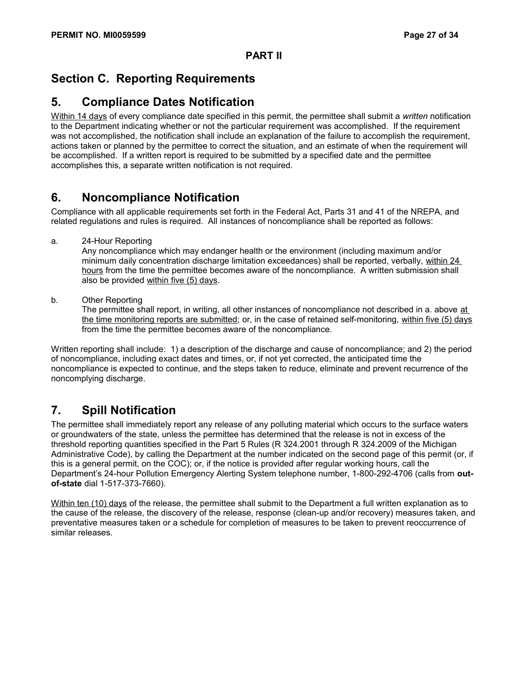# **Section C. Reporting Requirements**

### **5. Compliance Dates Notification**

Within 14 days of every compliance date specified in this permit, the permittee shall submit a *written* notification to the Department indicating whether or not the particular requirement was accomplished. If the requirement was not accomplished, the notification shall include an explanation of the failure to accomplish the requirement, actions taken or planned by the permittee to correct the situation, and an estimate of when the requirement will be accomplished. If a written report is required to be submitted by a specified date and the permittee accomplishes this, a separate written notification is not required.

# **6. Noncompliance Notification**

Compliance with all applicable requirements set forth in the Federal Act, Parts 31 and 41 of the NREPA, and related regulations and rules is required. All instances of noncompliance shall be reported as follows:

a. 24-Hour Reporting

Any noncompliance which may endanger health or the environment (including maximum and/or minimum daily concentration discharge limitation exceedances) shall be reported, verbally, within 24 hours from the time the permittee becomes aware of the noncompliance. A written submission shall also be provided within five (5) days.

b. Other Reporting

The permittee shall report, in writing, all other instances of noncompliance not described in a. above at the time monitoring reports are submitted; or, in the case of retained self-monitoring, within five (5) days from the time the permittee becomes aware of the noncompliance.

Written reporting shall include: 1) a description of the discharge and cause of noncompliance; and 2) the period of noncompliance, including exact dates and times, or, if not yet corrected, the anticipated time the noncompliance is expected to continue, and the steps taken to reduce, eliminate and prevent recurrence of the noncomplying discharge.

# **7. Spill Notification**

The permittee shall immediately report any release of any polluting material which occurs to the surface waters or groundwaters of the state, unless the permittee has determined that the release is not in excess of the threshold reporting quantities specified in the Part 5 Rules (R 324.2001 through R 324.2009 of the Michigan Administrative Code), by calling the Department at the number indicated on the second page of this permit (or, if this is a general permit, on the COC); or, if the notice is provided after regular working hours, call the Department's 24-hour Pollution Emergency Alerting System telephone number, 1-800-292-4706 (calls from **outof-state** dial 1-517-373-7660).

Within ten (10) days of the release, the permittee shall submit to the Department a full written explanation as to the cause of the release, the discovery of the release, response (clean-up and/or recovery) measures taken, and preventative measures taken or a schedule for completion of measures to be taken to prevent reoccurrence of similar releases.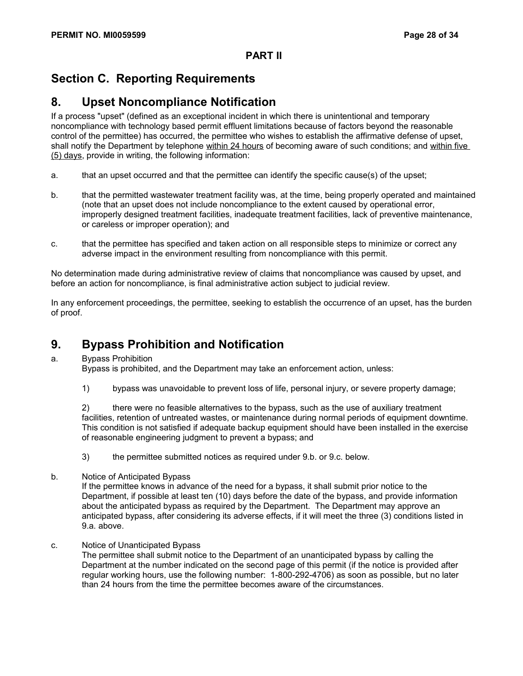# **Section C. Reporting Requirements**

### **8. Upset Noncompliance Notification**

If a process "upset" (defined as an exceptional incident in which there is unintentional and temporary noncompliance with technology based permit effluent limitations because of factors beyond the reasonable control of the permittee) has occurred, the permittee who wishes to establish the affirmative defense of upset, shall notify the Department by telephone within 24 hours of becoming aware of such conditions; and within five (5) days, provide in writing, the following information:

- a. that an upset occurred and that the permittee can identify the specific cause(s) of the upset;
- b. that the permitted wastewater treatment facility was, at the time, being properly operated and maintained (note that an upset does not include noncompliance to the extent caused by operational error, improperly designed treatment facilities, inadequate treatment facilities, lack of preventive maintenance, or careless or improper operation); and
- c. that the permittee has specified and taken action on all responsible steps to minimize or correct any adverse impact in the environment resulting from noncompliance with this permit.

No determination made during administrative review of claims that noncompliance was caused by upset, and before an action for noncompliance, is final administrative action subject to judicial review.

In any enforcement proceedings, the permittee, seeking to establish the occurrence of an upset, has the burden of proof.

# **9. Bypass Prohibition and Notification**

a. Bypass Prohibition

Bypass is prohibited, and the Department may take an enforcement action, unless:

1) bypass was unavoidable to prevent loss of life, personal injury, or severe property damage;

2) there were no feasible alternatives to the bypass, such as the use of auxiliary treatment facilities, retention of untreated wastes, or maintenance during normal periods of equipment downtime. This condition is not satisfied if adequate backup equipment should have been installed in the exercise of reasonable engineering judgment to prevent a bypass; and

- 3) the permittee submitted notices as required under 9.b. or 9.c. below.
- b. Notice of Anticipated Bypass

If the permittee knows in advance of the need for a bypass, it shall submit prior notice to the Department, if possible at least ten (10) days before the date of the bypass, and provide information about the anticipated bypass as required by the Department. The Department may approve an anticipated bypass, after considering its adverse effects, if it will meet the three (3) conditions listed in 9.a. above.

c. Notice of Unanticipated Bypass

The permittee shall submit notice to the Department of an unanticipated bypass by calling the Department at the number indicated on the second page of this permit (if the notice is provided after regular working hours, use the following number: 1-800-292-4706) as soon as possible, but no later than 24 hours from the time the permittee becomes aware of the circumstances.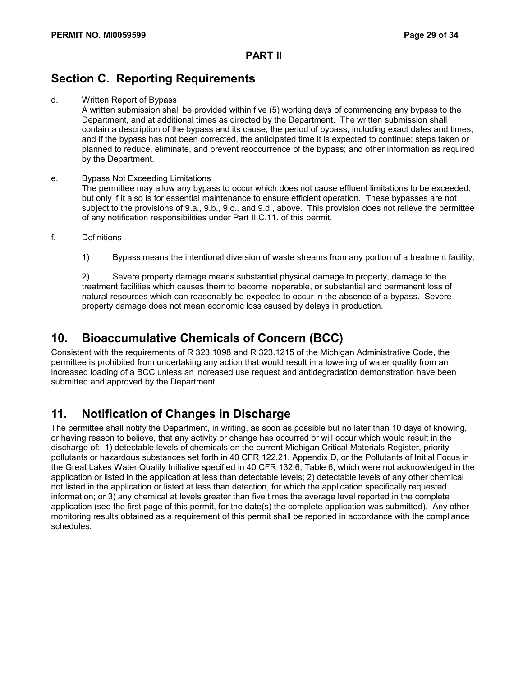# **Section C. Reporting Requirements**

d. Written Report of Bypass

A written submission shall be provided within five (5) working days of commencing any bypass to the Department, and at additional times as directed by the Department. The written submission shall contain a description of the bypass and its cause; the period of bypass, including exact dates and times, and if the bypass has not been corrected, the anticipated time it is expected to continue; steps taken or planned to reduce, eliminate, and prevent reoccurrence of the bypass; and other information as required by the Department.

- e. Bypass Not Exceeding Limitations The permittee may allow any bypass to occur which does not cause effluent limitations to be exceeded, but only if it also is for essential maintenance to ensure efficient operation. These bypasses are not subject to the provisions of 9.a., 9.b., 9.c., and 9.d., above. This provision does not relieve the permittee of any notification responsibilities under Part II.C.11. of this permit.
- f. Definitions
	- 1) Bypass means the intentional diversion of waste streams from any portion of a treatment facility.

2) Severe property damage means substantial physical damage to property, damage to the treatment facilities which causes them to become inoperable, or substantial and permanent loss of natural resources which can reasonably be expected to occur in the absence of a bypass. Severe property damage does not mean economic loss caused by delays in production.

### **10. Bioaccumulative Chemicals of Concern (BCC)**

Consistent with the requirements of R 323.1098 and R 323.1215 of the Michigan Administrative Code, the permittee is prohibited from undertaking any action that would result in a lowering of water quality from an increased loading of a BCC unless an increased use request and antidegradation demonstration have been submitted and approved by the Department.

# **11. Notification of Changes in Discharge**

The permittee shall notify the Department, in writing, as soon as possible but no later than 10 days of knowing, or having reason to believe, that any activity or change has occurred or will occur which would result in the discharge of: 1) detectable levels of chemicals on the current Michigan Critical Materials Register, priority pollutants or hazardous substances set forth in 40 CFR 122.21, Appendix D, or the Pollutants of Initial Focus in the Great Lakes Water Quality Initiative specified in 40 CFR 132.6, Table 6, which were not acknowledged in the application or listed in the application at less than detectable levels; 2) detectable levels of any other chemical not listed in the application or listed at less than detection, for which the application specifically requested information; or 3) any chemical at levels greater than five times the average level reported in the complete application (see the first page of this permit, for the date(s) the complete application was submitted). Any other monitoring results obtained as a requirement of this permit shall be reported in accordance with the compliance schedules.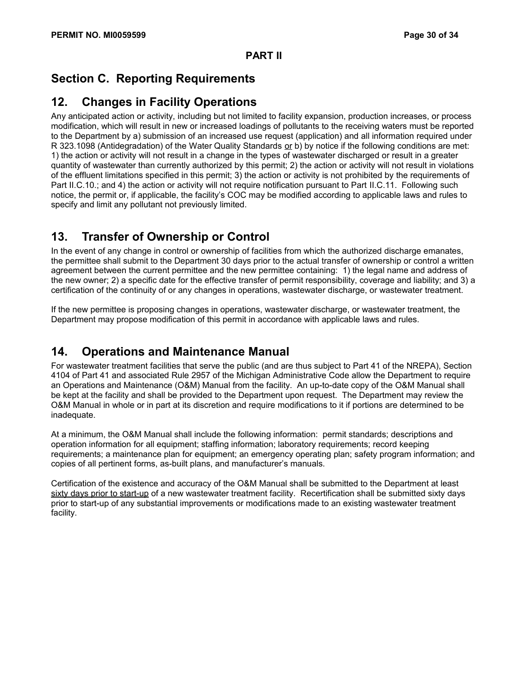# **Section C. Reporting Requirements**

## **12. Changes in Facility Operations**

Any anticipated action or activity, including but not limited to facility expansion, production increases, or process modification, which will result in new or increased loadings of pollutants to the receiving waters must be reported to the Department by a) submission of an increased use request (application) and all information required under R 323.1098 (Antidegradation) of the Water Quality Standards or b) by notice if the following conditions are met: 1) the action or activity will not result in a change in the types of wastewater discharged or result in a greater quantity of wastewater than currently authorized by this permit; 2) the action or activity will not result in violations of the effluent limitations specified in this permit; 3) the action or activity is not prohibited by the requirements of Part II.C.10.; and 4) the action or activity will not require notification pursuant to Part II.C.11. Following such notice, the permit or, if applicable, the facility's COC may be modified according to applicable laws and rules to specify and limit any pollutant not previously limited.

# **13. Transfer of Ownership or Control**

In the event of any change in control or ownership of facilities from which the authorized discharge emanates, the permittee shall submit to the Department 30 days prior to the actual transfer of ownership or control a written agreement between the current permittee and the new permittee containing: 1) the legal name and address of the new owner; 2) a specific date for the effective transfer of permit responsibility, coverage and liability; and 3) a certification of the continuity of or any changes in operations, wastewater discharge, or wastewater treatment.

If the new permittee is proposing changes in operations, wastewater discharge, or wastewater treatment, the Department may propose modification of this permit in accordance with applicable laws and rules.

# **14. Operations and Maintenance Manual**

For wastewater treatment facilities that serve the public (and are thus subject to Part 41 of the NREPA), Section 4104 of Part 41 and associated Rule 2957 of the Michigan Administrative Code allow the Department to require an Operations and Maintenance (O&M) Manual from the facility. An up-to-date copy of the O&M Manual shall be kept at the facility and shall be provided to the Department upon request. The Department may review the O&M Manual in whole or in part at its discretion and require modifications to it if portions are determined to be inadequate.

At a minimum, the O&M Manual shall include the following information: permit standards; descriptions and operation information for all equipment; staffing information; laboratory requirements; record keeping requirements; a maintenance plan for equipment; an emergency operating plan; safety program information; and copies of all pertinent forms, as-built plans, and manufacturer's manuals.

Certification of the existence and accuracy of the O&M Manual shall be submitted to the Department at least sixty days prior to start-up of a new wastewater treatment facility. Recertification shall be submitted sixty days prior to start-up of any substantial improvements or modifications made to an existing wastewater treatment facility.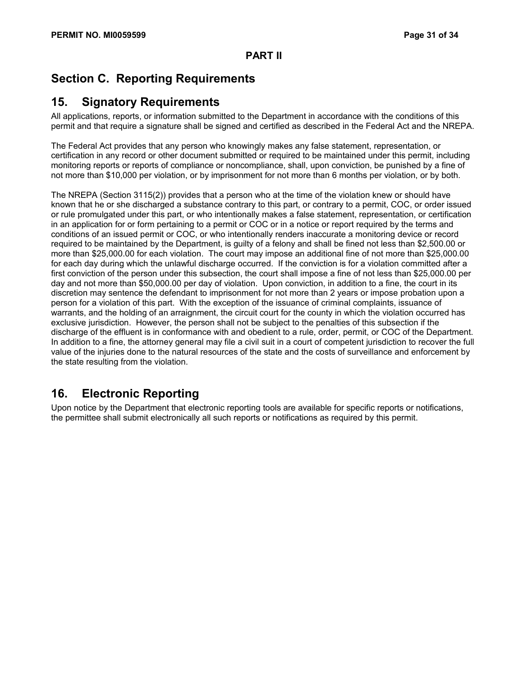# **Section C. Reporting Requirements**

### **15. Signatory Requirements**

All applications, reports, or information submitted to the Department in accordance with the conditions of this permit and that require a signature shall be signed and certified as described in the Federal Act and the NREPA.

The Federal Act provides that any person who knowingly makes any false statement, representation, or certification in any record or other document submitted or required to be maintained under this permit, including monitoring reports or reports of compliance or noncompliance, shall, upon conviction, be punished by a fine of not more than \$10,000 per violation, or by imprisonment for not more than 6 months per violation, or by both.

The NREPA (Section 3115(2)) provides that a person who at the time of the violation knew or should have known that he or she discharged a substance contrary to this part, or contrary to a permit, COC, or order issued or rule promulgated under this part, or who intentionally makes a false statement, representation, or certification in an application for or form pertaining to a permit or COC or in a notice or report required by the terms and conditions of an issued permit or COC, or who intentionally renders inaccurate a monitoring device or record required to be maintained by the Department, is guilty of a felony and shall be fined not less than \$2,500.00 or more than \$25,000.00 for each violation. The court may impose an additional fine of not more than \$25,000.00 for each day during which the unlawful discharge occurred. If the conviction is for a violation committed after a first conviction of the person under this subsection, the court shall impose a fine of not less than \$25,000.00 per day and not more than \$50,000.00 per day of violation. Upon conviction, in addition to a fine, the court in its discretion may sentence the defendant to imprisonment for not more than 2 years or impose probation upon a person for a violation of this part. With the exception of the issuance of criminal complaints, issuance of warrants, and the holding of an arraignment, the circuit court for the county in which the violation occurred has exclusive jurisdiction. However, the person shall not be subject to the penalties of this subsection if the discharge of the effluent is in conformance with and obedient to a rule, order, permit, or COC of the Department. In addition to a fine, the attorney general may file a civil suit in a court of competent jurisdiction to recover the full value of the injuries done to the natural resources of the state and the costs of surveillance and enforcement by the state resulting from the violation.

# **16. Electronic Reporting**

Upon notice by the Department that electronic reporting tools are available for specific reports or notifications, the permittee shall submit electronically all such reports or notifications as required by this permit.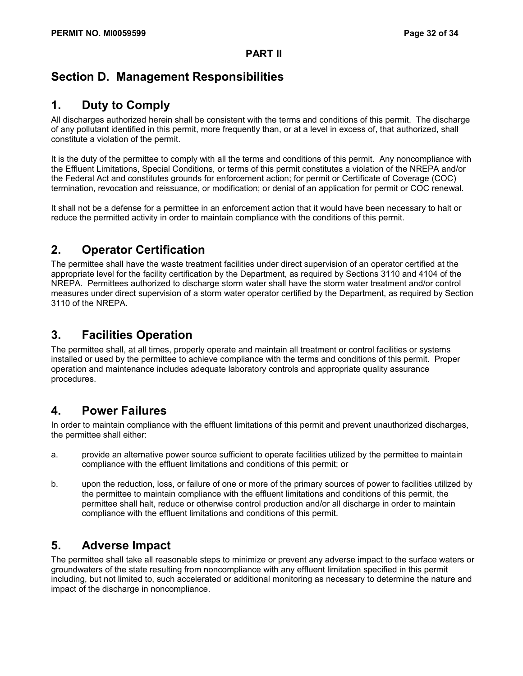# **Section D. Management Responsibilities**

# **1. Duty to Comply**

All discharges authorized herein shall be consistent with the terms and conditions of this permit. The discharge of any pollutant identified in this permit, more frequently than, or at a level in excess of, that authorized, shall constitute a violation of the permit.

It is the duty of the permittee to comply with all the terms and conditions of this permit. Any noncompliance with the Effluent Limitations, Special Conditions, or terms of this permit constitutes a violation of the NREPA and/or the Federal Act and constitutes grounds for enforcement action; for permit or Certificate of Coverage (COC) termination, revocation and reissuance, or modification; or denial of an application for permit or COC renewal.

It shall not be a defense for a permittee in an enforcement action that it would have been necessary to halt or reduce the permitted activity in order to maintain compliance with the conditions of this permit.

# **2. Operator Certification**

The permittee shall have the waste treatment facilities under direct supervision of an operator certified at the appropriate level for the facility certification by the Department, as required by Sections 3110 and 4104 of the NREPA. Permittees authorized to discharge storm water shall have the storm water treatment and/or control measures under direct supervision of a storm water operator certified by the Department, as required by Section 3110 of the NREPA.

# **3. Facilities Operation**

The permittee shall, at all times, properly operate and maintain all treatment or control facilities or systems installed or used by the permittee to achieve compliance with the terms and conditions of this permit. Proper operation and maintenance includes adequate laboratory controls and appropriate quality assurance procedures.

# **4. Power Failures**

In order to maintain compliance with the effluent limitations of this permit and prevent unauthorized discharges, the permittee shall either:

- a. provide an alternative power source sufficient to operate facilities utilized by the permittee to maintain compliance with the effluent limitations and conditions of this permit; or
- b. upon the reduction, loss, or failure of one or more of the primary sources of power to facilities utilized by the permittee to maintain compliance with the effluent limitations and conditions of this permit, the permittee shall halt, reduce or otherwise control production and/or all discharge in order to maintain compliance with the effluent limitations and conditions of this permit.

# **5. Adverse Impact**

The permittee shall take all reasonable steps to minimize or prevent any adverse impact to the surface waters or groundwaters of the state resulting from noncompliance with any effluent limitation specified in this permit including, but not limited to, such accelerated or additional monitoring as necessary to determine the nature and impact of the discharge in noncompliance.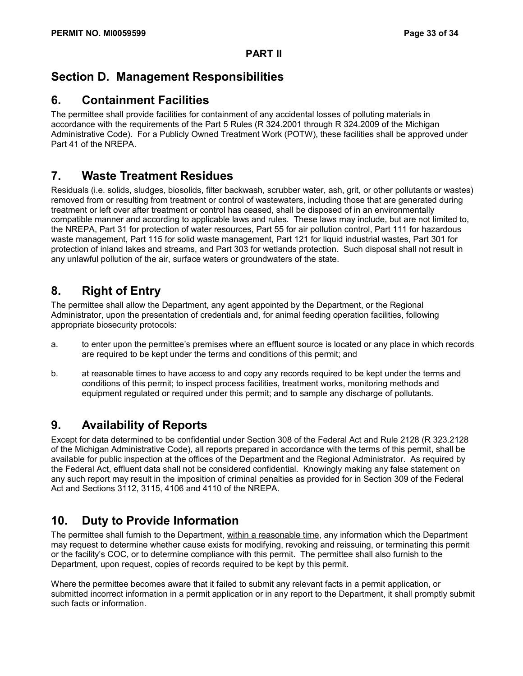# **Section D. Management Responsibilities**

# **6. Containment Facilities**

The permittee shall provide facilities for containment of any accidental losses of polluting materials in accordance with the requirements of the Part 5 Rules (R 324.2001 through R 324.2009 of the Michigan Administrative Code). For a Publicly Owned Treatment Work (POTW), these facilities shall be approved under Part 41 of the NREPA.

# **7. Waste Treatment Residues**

Residuals (i.e. solids, sludges, biosolids, filter backwash, scrubber water, ash, grit, or other pollutants or wastes) removed from or resulting from treatment or control of wastewaters, including those that are generated during treatment or left over after treatment or control has ceased, shall be disposed of in an environmentally compatible manner and according to applicable laws and rules. These laws may include, but are not limited to, the NREPA, Part 31 for protection of water resources, Part 55 for air pollution control, Part 111 for hazardous waste management, Part 115 for solid waste management, Part 121 for liquid industrial wastes, Part 301 for protection of inland lakes and streams, and Part 303 for wetlands protection. Such disposal shall not result in any unlawful pollution of the air, surface waters or groundwaters of the state.

# **8. Right of Entry**

The permittee shall allow the Department, any agent appointed by the Department, or the Regional Administrator, upon the presentation of credentials and, for animal feeding operation facilities, following appropriate biosecurity protocols:

- a. to enter upon the permittee's premises where an effluent source is located or any place in which records are required to be kept under the terms and conditions of this permit; and
- b. at reasonable times to have access to and copy any records required to be kept under the terms and conditions of this permit; to inspect process facilities, treatment works, monitoring methods and equipment regulated or required under this permit; and to sample any discharge of pollutants.

# **9. Availability of Reports**

Except for data determined to be confidential under Section 308 of the Federal Act and Rule 2128 (R 323.2128 of the Michigan Administrative Code), all reports prepared in accordance with the terms of this permit, shall be available for public inspection at the offices of the Department and the Regional Administrator. As required by the Federal Act, effluent data shall not be considered confidential. Knowingly making any false statement on any such report may result in the imposition of criminal penalties as provided for in Section 309 of the Federal Act and Sections 3112, 3115, 4106 and 4110 of the NREPA.

# **10. Duty to Provide Information**

The permittee shall furnish to the Department, within a reasonable time, any information which the Department may request to determine whether cause exists for modifying, revoking and reissuing, or terminating this permit or the facility's COC, or to determine compliance with this permit. The permittee shall also furnish to the Department, upon request, copies of records required to be kept by this permit.

Where the permittee becomes aware that it failed to submit any relevant facts in a permit application, or submitted incorrect information in a permit application or in any report to the Department, it shall promptly submit such facts or information.